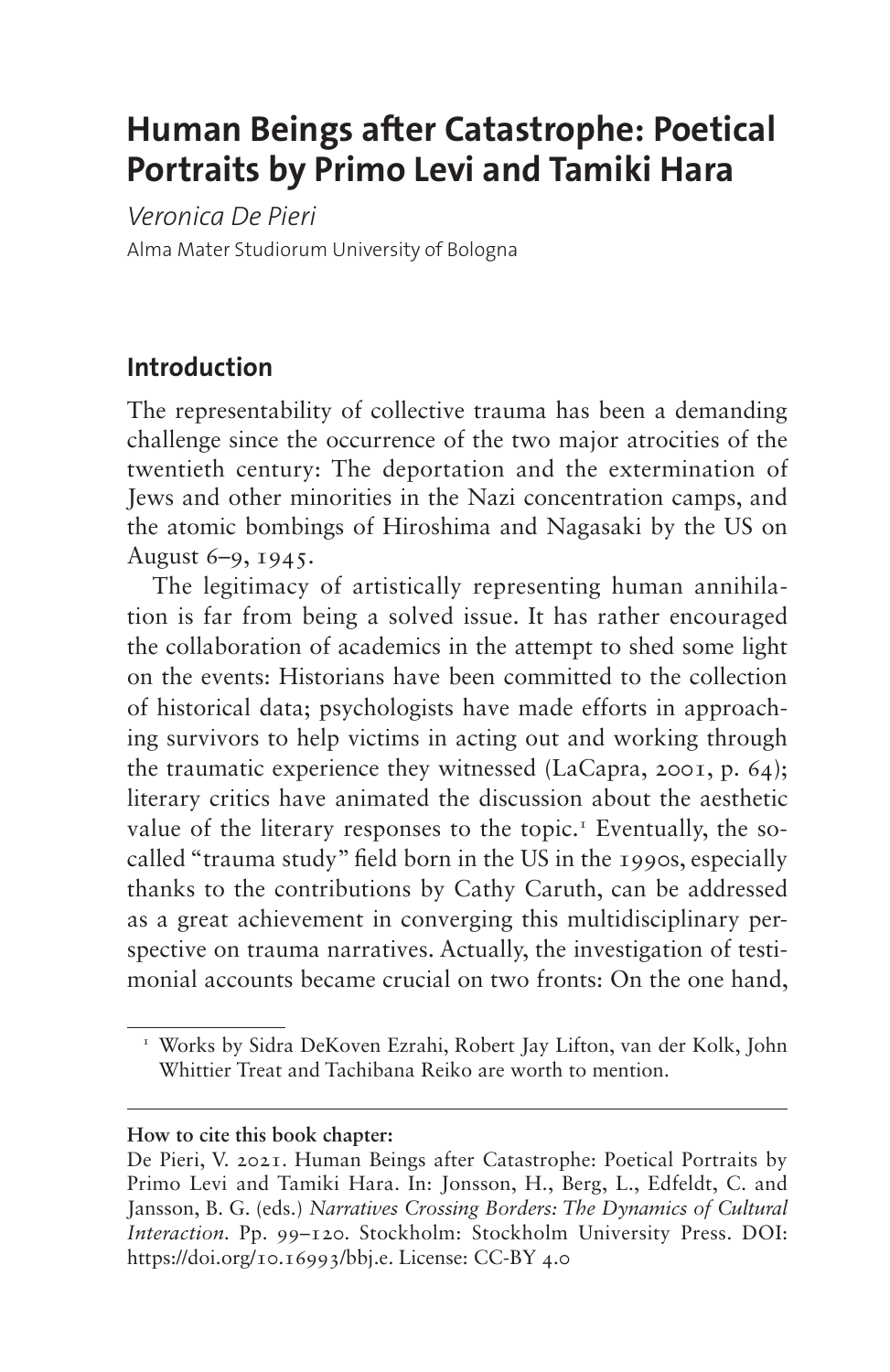# **Human Beings after Catastrophe: Poetical Portraits by Primo Levi and Tamiki Hara**

*Veronica De Pieri* Alma Mater Studiorum University of Bologna

# **Introduction**

The representability of collective trauma has been a demanding challenge since the occurrence of the two major atrocities of the twentieth century: The deportation and the extermination of Jews and other minorities in the Nazi concentration camps, and the atomic bombings of Hiroshima and Nagasaki by the US on August 6–9, 1945.

The legitimacy of artistically representing human annihilation is far from being a solved issue. It has rather encouraged the collaboration of academics in the attempt to shed some light on the events: Historians have been committed to the collection of historical data; psychologists have made efforts in approaching survivors to help victims in acting out and working through the traumatic experience they witnessed (LaCapra, 2001, p. 64); literary critics have animated the discussion about the aesthetic value of the literary responses to the topic.<sup>[1](#page-0-0)</sup> Eventually, the socalled "trauma study" field born in the US in the 1990s, especially thanks to the contributions by Cathy Caruth, can be addressed as a great achievement in converging this multidisciplinary perspective on trauma narratives. Actually, the investigation of testimonial accounts became crucial on two fronts: On the one hand,

#### **How to cite this book chapter:**

<span id="page-0-0"></span><sup>1</sup> Works by Sidra DeKoven Ezrahi, Robert Jay Lifton, van der Kolk, John Whittier Treat and Tachibana Reiko are worth to mention.

De Pieri, V. 2021. Human Beings after Catastrophe: Poetical Portraits by Primo Levi and Tamiki Hara. In: Jonsson, H., Berg, L., Edfeldt, C. and Jansson, B. G. (eds.) *Narratives Crossing Borders: The Dynamics of Cultural Interaction.* Pp. 99–120. Stockholm: Stockholm University Press. DOI: <https://doi.org/10.16993/bbj.e>. License: CC-BY 4.0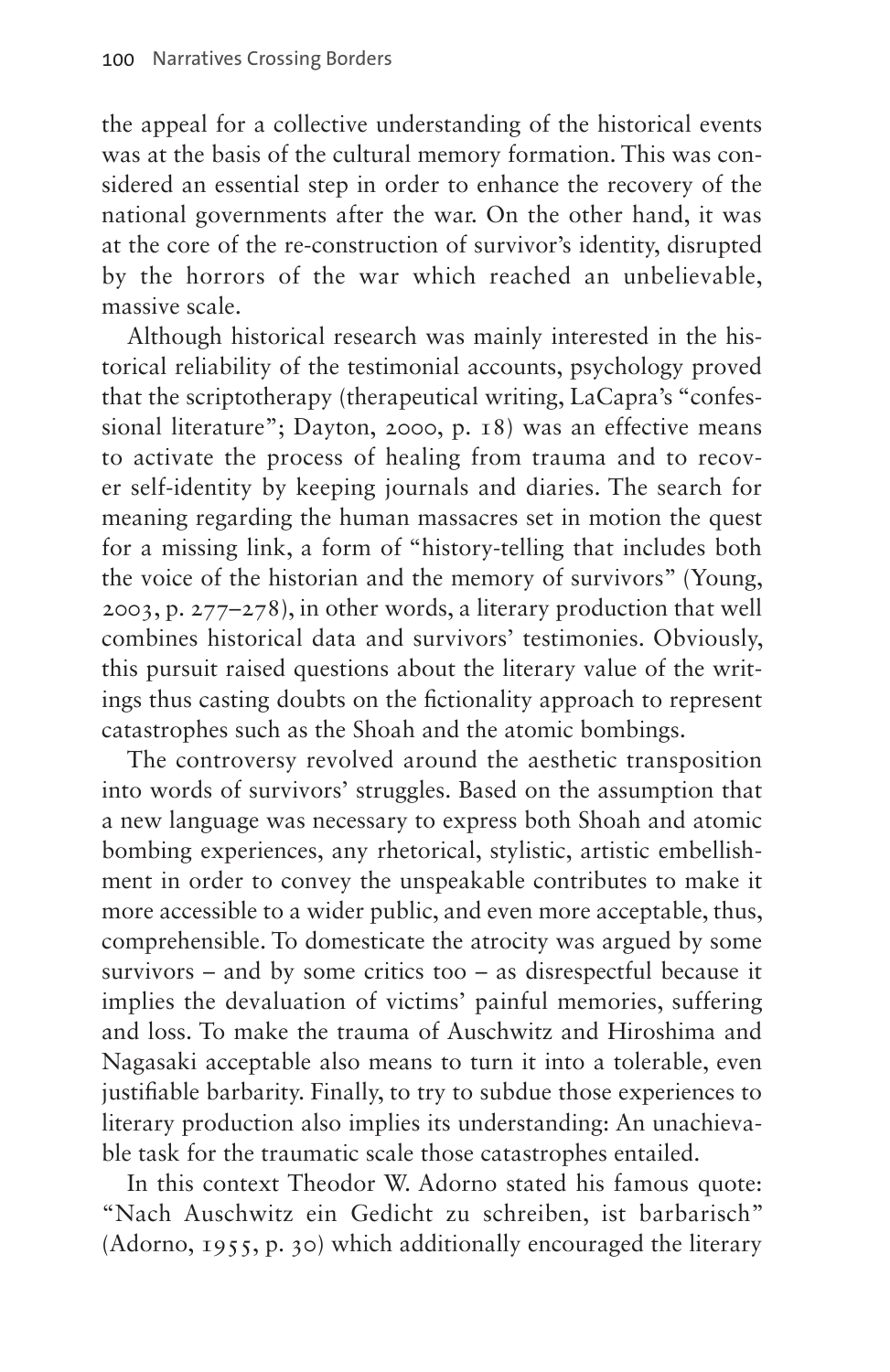the appeal for a collective understanding of the historical events was at the basis of the cultural memory formation. This was considered an essential step in order to enhance the recovery of the national governments after the war. On the other hand, it was at the core of the re-construction of survivor's identity, disrupted by the horrors of the war which reached an unbelievable, massive scale.

Although historical research was mainly interested in the historical reliability of the testimonial accounts, psychology proved that the scriptotherapy (therapeutical writing, LaCapra's "confessional literature"; Dayton, 2000, p. 18) was an effective means to activate the process of healing from trauma and to recover self-identity by keeping journals and diaries. The search for meaning regarding the human massacres set in motion the quest for a missing link, a form of "history-telling that includes both the voice of the historian and the memory of survivors" (Young, 2003, p. 277–278), in other words, a literary production that well combines historical data and survivors' testimonies. Obviously, this pursuit raised questions about the literary value of the writings thus casting doubts on the fictionality approach to represent catastrophes such as the Shoah and the atomic bombings.

The controversy revolved around the aesthetic transposition into words of survivors' struggles. Based on the assumption that a new language was necessary to express both Shoah and atomic bombing experiences, any rhetorical, stylistic, artistic embellishment in order to convey the unspeakable contributes to make it more accessible to a wider public, and even more acceptable, thus, comprehensible. To domesticate the atrocity was argued by some survivors – and by some critics too – as disrespectful because it implies the devaluation of victims' painful memories, suffering and loss. To make the trauma of Auschwitz and Hiroshima and Nagasaki acceptable also means to turn it into a tolerable, even justifiable barbarity. Finally, to try to subdue those experiences to literary production also implies its understanding: An unachievable task for the traumatic scale those catastrophes entailed.

In this context Theodor W. Adorno stated his famous quote: "Nach Auschwitz ein Gedicht zu schreiben, ist barbarisch" (Adorno, 1955, p. 30) which additionally encouraged the literary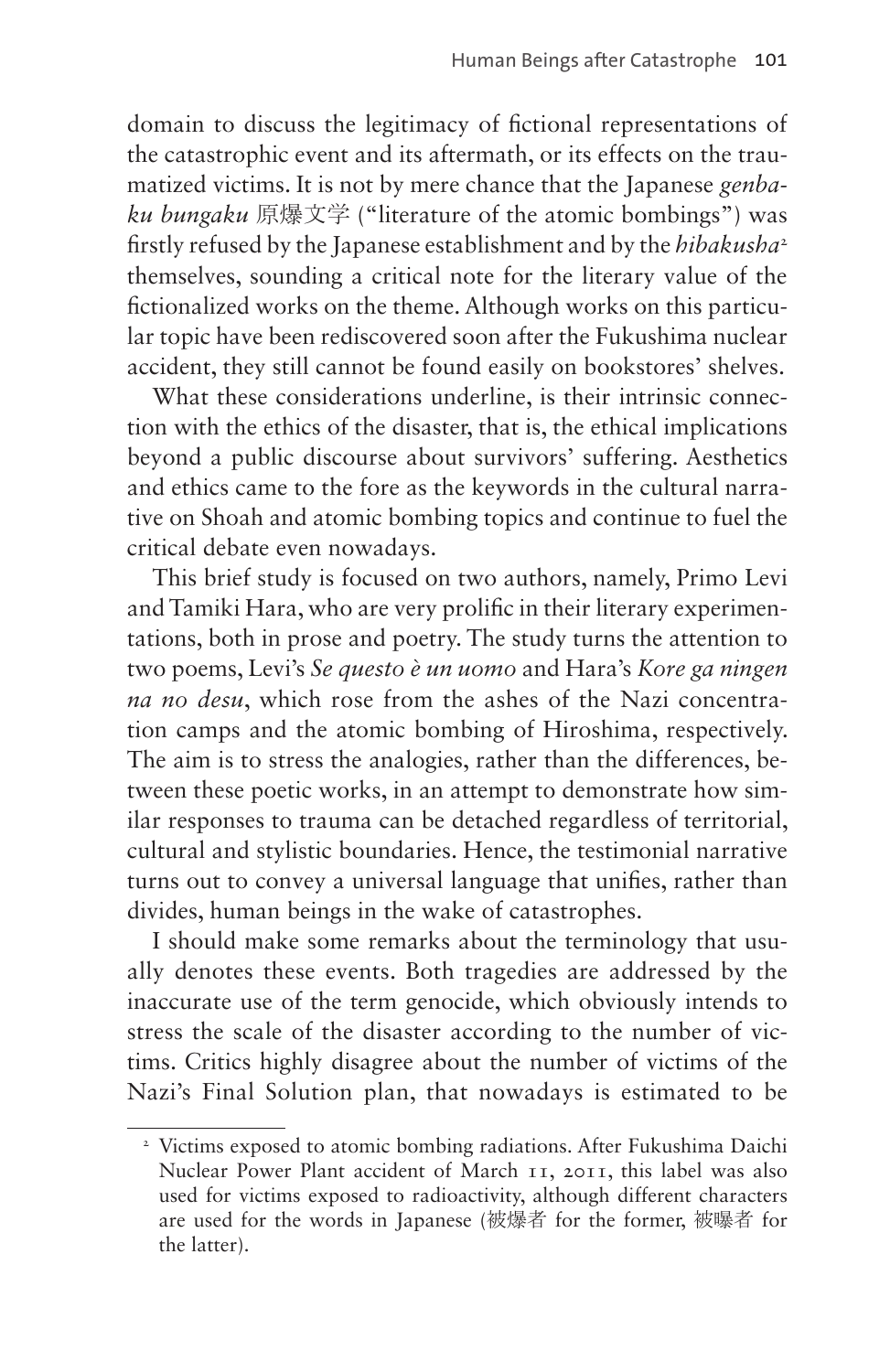domain to discuss the legitimacy of fictional representations of the catastrophic event and its aftermath, or its effects on the traumatized victims. It is not by mere chance that the Japanese *genbaku bungaku* 原爆文学 ("literature of the atomic bombings") was firstly refused by the Japanese establishment and by the *hibakusha*[2](#page-2-0) themselves, sounding a critical note for the literary value of the fictionalized works on the theme. Although works on this particular topic have been rediscovered soon after the Fukushima nuclear accident, they still cannot be found easily on bookstores' shelves.

What these considerations underline, is their intrinsic connection with the ethics of the disaster, that is, the ethical implications beyond a public discourse about survivors' suffering. Aesthetics and ethics came to the fore as the keywords in the cultural narrative on Shoah and atomic bombing topics and continue to fuel the critical debate even nowadays.

This brief study is focused on two authors, namely, Primo Levi and Tamiki Hara, who are very prolific in their literary experimentations, both in prose and poetry. The study turns the attention to two poems, Levi's *Se questo è un uomo* and Hara's *Kore ga ningen na no desu*, which rose from the ashes of the Nazi concentration camps and the atomic bombing of Hiroshima, respectively. The aim is to stress the analogies, rather than the differences, between these poetic works, in an attempt to demonstrate how similar responses to trauma can be detached regardless of territorial, cultural and stylistic boundaries. Hence, the testimonial narrative turns out to convey a universal language that unifies, rather than divides, human beings in the wake of catastrophes.

I should make some remarks about the terminology that usually denotes these events. Both tragedies are addressed by the inaccurate use of the term genocide, which obviously intends to stress the scale of the disaster according to the number of victims. Critics highly disagree about the number of victims of the Nazi's Final Solution plan, that nowadays is estimated to be

<span id="page-2-0"></span><sup>&</sup>lt;sup>2</sup> Victims exposed to atomic bombing radiations. After Fukushima Daichi Nuclear Power Plant accident of March 11, 2011, this label was also used for victims exposed to radioactivity, although different characters are used for the words in Japanese (被爆者 for the former, 被曝者 for the latter).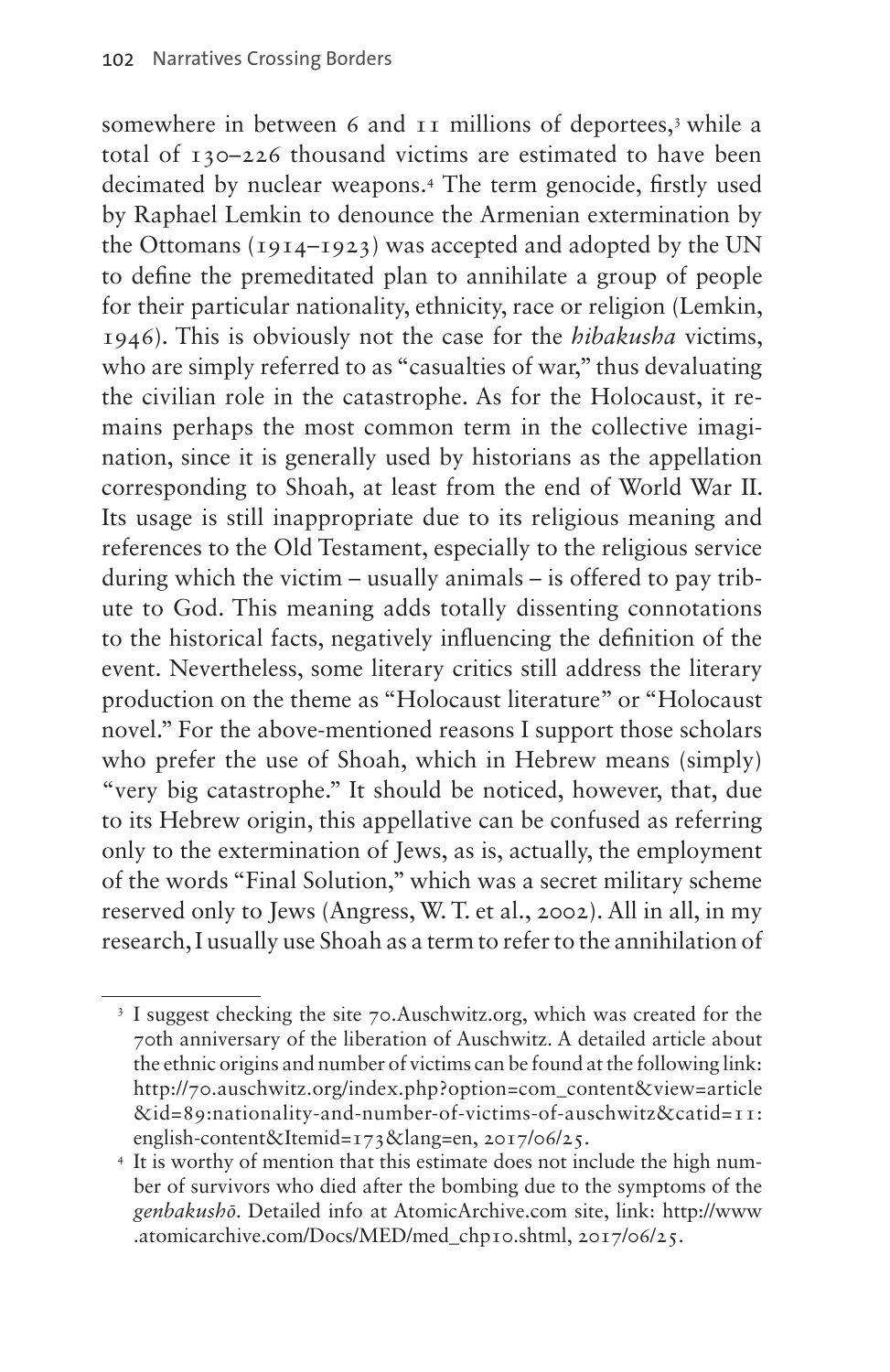somewhere in between 6 and 11 millions of deportees,<sup>[3](#page-3-0)</sup> while a total of 130–226 thousand victims are estimated to have been decimated by nuclear weapons[.4](#page-3-1) The term genocide, firstly used by Raphael Lemkin to denounce the Armenian extermination by the Ottomans (1914–1923) was accepted and adopted by the UN to define the premeditated plan to annihilate a group of people for their particular nationality, ethnicity, race or religion (Lemkin, 1946). This is obviously not the case for the *hibakusha* victims, who are simply referred to as "casualties of war," thus devaluating the civilian role in the catastrophe. As for the Holocaust, it remains perhaps the most common term in the collective imagination, since it is generally used by historians as the appellation corresponding to Shoah, at least from the end of World War II. Its usage is still inappropriate due to its religious meaning and references to the Old Testament, especially to the religious service during which the victim – usually animals – is offered to pay tribute to God. This meaning adds totally dissenting connotations to the historical facts, negatively influencing the definition of the event. Nevertheless, some literary critics still address the literary production on the theme as "Holocaust literature" or "Holocaust novel." For the above-mentioned reasons I support those scholars who prefer the use of Shoah, which in Hebrew means (simply) "very big catastrophe." It should be noticed, however, that, due to its Hebrew origin, this appellative can be confused as referring only to the extermination of Jews, as is, actually, the employment of the words "Final Solution," which was a secret military scheme reserved only to Jews (Angress, W. T. et al., 2002). All in all, in my research, I usually use Shoah as a term to refer to the annihilation of

<span id="page-3-0"></span><sup>&</sup>lt;sup>3</sup> I suggest checking the site 70[.Auschwitz.org](http://Auschwitz.org), which was created for the 70th anniversary of the liberation of Auschwitz. A detailed article about the ethnic origins and number of victims can be found at the following link: [http://70.auschwitz.org/index.php?option=com\\_content&view=article](http://70.auschwitz.org/index.php?option=com_content&view=article&id=89:nationality-and-number-of-victims-of-auschwitz&catid=11:english-content&Itemid=173&lang=en) [&id=89:nationality-and-number-of-victims-of-auschwitz&catid=11:](http://70.auschwitz.org/index.php?option=com_content&view=article&id=89:nationality-and-number-of-victims-of-auschwitz&catid=11:english-content&Itemid=173&lang=en)

<span id="page-3-1"></span><sup>&</sup>lt;sup>4</sup> It is worthy of mention that this estimate does not include the high number of survivors who died after the bombing due to the symptoms of the *genbakushō*. Detailed info at <AtomicArchive.com> site, link: [http://www](http://www.atomicarchive.com/Docs/MED/med_chp10.shtml) [.atomicarchive.com/Docs/MED/med\\_chp10.shtml](http://www.atomicarchive.com/Docs/MED/med_chp10.shtml), 2017/06/25.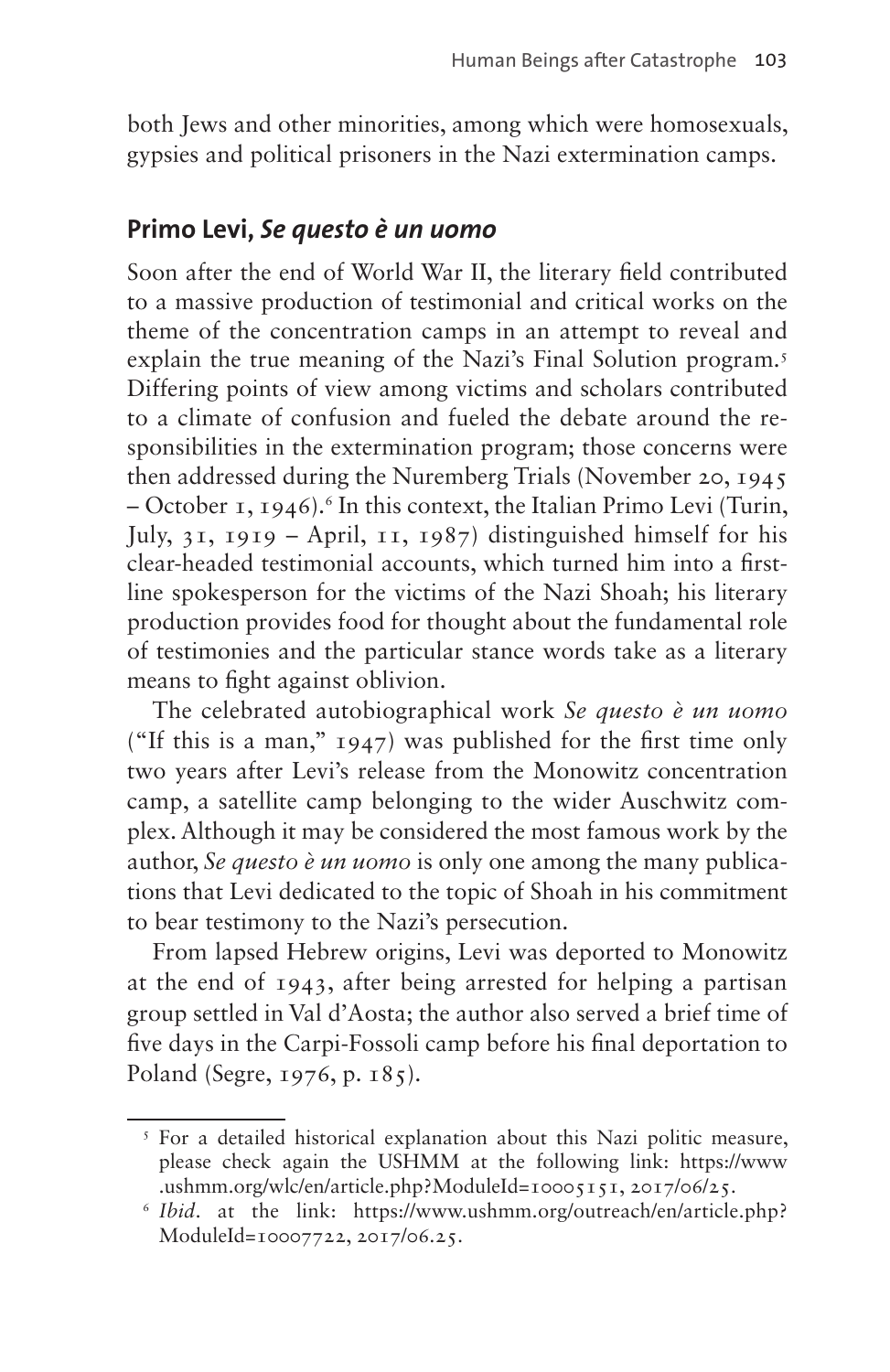both Jews and other minorities, among which were homosexuals, gypsies and political prisoners in the Nazi extermination camps.

### **Primo Levi,** *Se questo è un uomo*

Soon after the end of World War II, the literary field contributed to a massive production of testimonial and critical works on the theme of the concentration camps in an attempt to reveal and explain the true meaning of the Nazi's Final Solution program.<sup>5</sup> Differing points of view among victims and scholars contributed to a climate of confusion and fueled the debate around the responsibilities in the extermination program; those concerns were then addressed during the Nuremberg Trials (November 20, 1945 – October 1, 1946).<sup>6</sup> In this context, the Italian Primo Levi (Turin, July, 31, 1919 – April, 11, 1987) distinguished himself for his clear-headed testimonial accounts, which turned him into a firstline spokesperson for the victims of the Nazi Shoah; his literary production provides food for thought about the fundamental role of testimonies and the particular stance words take as a literary means to fight against oblivion.

The celebrated autobiographical work *Se questo è un uomo* ("If this is a man," 1947) was published for the first time only two years after Levi's release from the Monowitz concentration camp, a satellite camp belonging to the wider Auschwitz complex. Although it may be considered the most famous work by the author, *Se questo è un uomo* is only one among the many publications that Levi dedicated to the topic of Shoah in his commitment to bear testimony to the Nazi's persecution.

From lapsed Hebrew origins, Levi was deported to Monowitz at the end of 1943, after being arrested for helping a partisan group settled in Val d'Aosta; the author also served a brief time of five days in the Carpi-Fossoli camp before his final deportation to Poland (Segre, 1976, p. 185).

<span id="page-4-0"></span><sup>&</sup>lt;sup>5</sup> For a detailed historical explanation about this Nazi politic measure, please check again the USHMM at the following link: [https://www](https://www.ushmm.org/wlc/en/article.php?ModuleId=10005151) [.ushmm.org/wlc/en/article.php?ModuleId=10005151](https://www.ushmm.org/wlc/en/article.php?ModuleId=10005151), 2017/06/25.

<span id="page-4-1"></span><sup>6</sup> *Ibid*. at the link: [https://www.ushmm.org/outreach/en/article.php?](https://www.ushmm.org/outreach/en/article.php?ModuleId=10007722) [ModuleId=10007722](https://www.ushmm.org/outreach/en/article.php?ModuleId=10007722), 2017/06.25.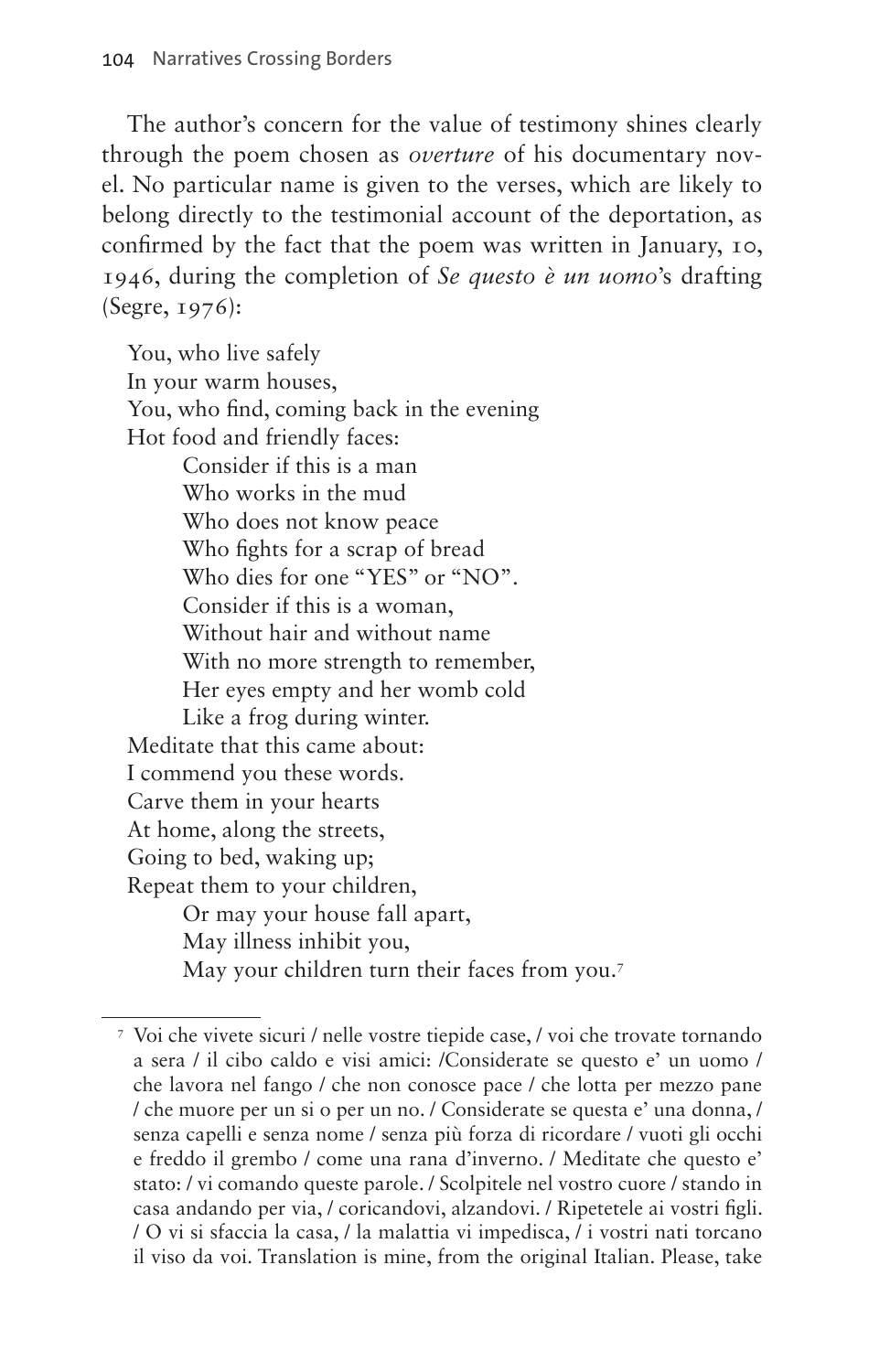The author's concern for the value of testimony shines clearly through the poem chosen as *overture* of his documentary novel. No particular name is given to the verses, which are likely to belong directly to the testimonial account of the deportation, as confirmed by the fact that the poem was written in January, 10, 1946, during the completion of *Se questo è un uomo*'s drafting (Segre, 1976):

You, who live safely In your warm houses, You, who find, coming back in the evening Hot food and friendly faces: Consider if this is a man Who works in the mud Who does not know peace Who fights for a scrap of bread Who dies for one "YES" or "NO". Consider if this is a woman, Without hair and without name With no more strength to remember, Her eyes empty and her womb cold Like a frog during winter. Meditate that this came about: I commend you these words. Carve them in your hearts At home, along the streets, Going to bed, waking up; Repeat them to your children, Or may your house fall apart, May illness inhibit you, May your children turn their faces from you[.7](#page-5-0)

<span id="page-5-0"></span><sup>7</sup> Voi che vivete sicuri / nelle vostre tiepide case, / voi che trovate tornando a sera / il cibo caldo e visi amici: /Considerate se questo e' un uomo / che lavora nel fango / che non conosce pace / che lotta per mezzo pane / che muore per un si o per un no. / Considerate se questa e' una donna, / senza capelli e senza nome / senza più forza di ricordare / vuoti gli occhi e freddo il grembo / come una rana d'inverno. / Meditate che questo e' stato: / vi comando queste parole. / Scolpitele nel vostro cuore / stando in casa andando per via, / coricandovi, alzandovi. / Ripetetele ai vostri figli. / O vi si sfaccia la casa, / la malattia vi impedisca, / i vostri nati torcano il viso da voi. Translation is mine, from the original Italian. Please, take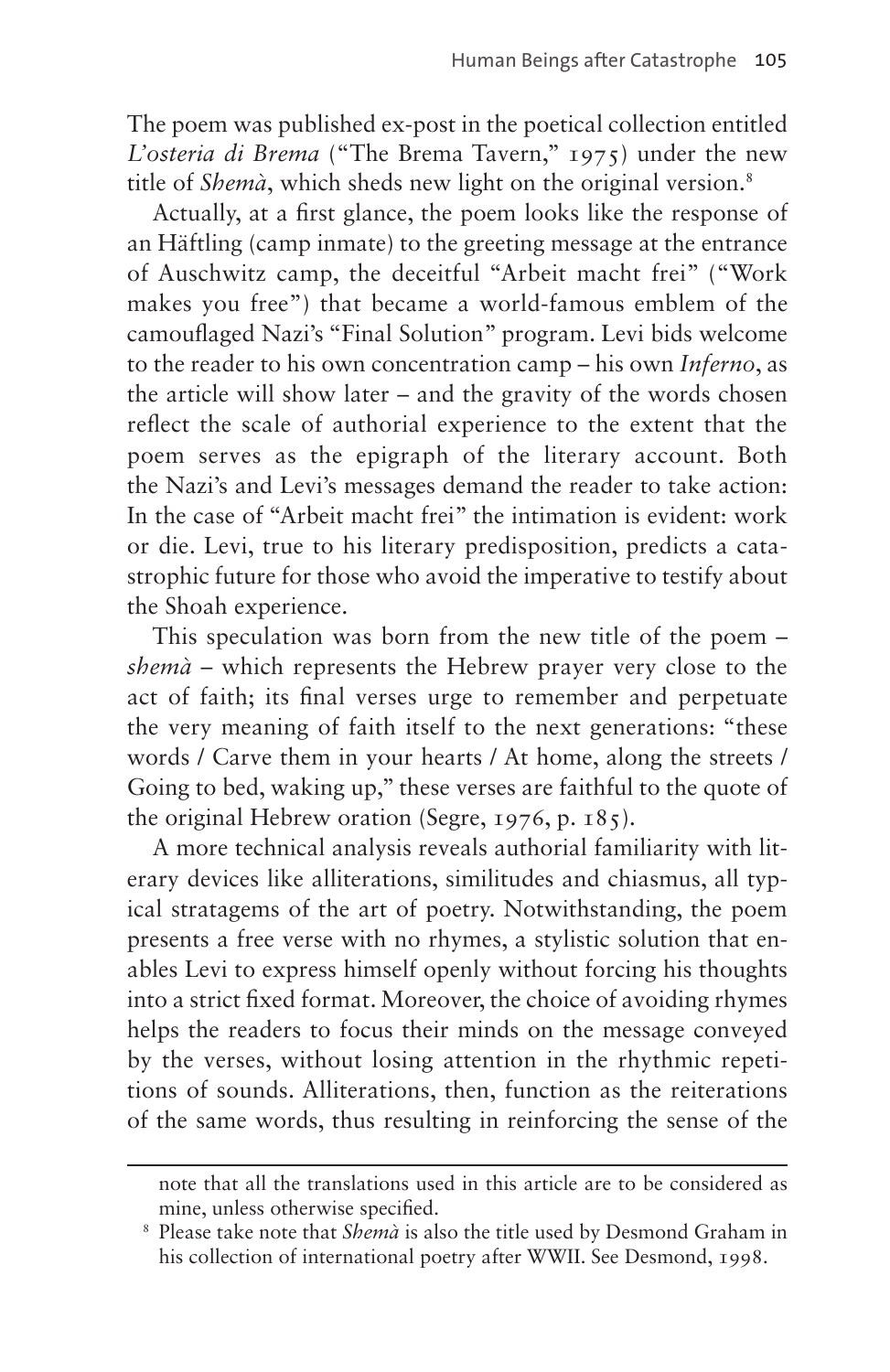The poem was published ex-post in the poetical collection entitled *L'osteria di Brema* ("The Brema Tavern," 1975) under the new title of *Shemà*, which sheds new light on the original version.<sup>[8](#page-6-0)</sup>

Actually, at a first glance, the poem looks like the response of an Häftling (camp inmate) to the greeting message at the entrance of Auschwitz camp, the deceitful "Arbeit macht frei" ("Work makes you free") that became a world-famous emblem of the camouflaged Nazi's "Final Solution" program. Levi bids welcome to the reader to his own concentration camp – his own *Inferno*, as the article will show later – and the gravity of the words chosen reflect the scale of authorial experience to the extent that the poem serves as the epigraph of the literary account. Both the Nazi's and Levi's messages demand the reader to take action: In the case of "Arbeit macht frei" the intimation is evident: work or die. Levi, true to his literary predisposition, predicts a catastrophic future for those who avoid the imperative to testify about the Shoah experience.

This speculation was born from the new title of the poem – *shemà* – which represents the Hebrew prayer very close to the act of faith; its final verses urge to remember and perpetuate the very meaning of faith itself to the next generations: "these words / Carve them in your hearts / At home, along the streets / Going to bed, waking up," these verses are faithful to the quote of the original Hebrew oration (Segre, 1976, p. 185).

A more technical analysis reveals authorial familiarity with literary devices like alliterations, similitudes and chiasmus, all typical stratagems of the art of poetry. Notwithstanding, the poem presents a free verse with no rhymes, a stylistic solution that enables Levi to express himself openly without forcing his thoughts into a strict fixed format. Moreover, the choice of avoiding rhymes helps the readers to focus their minds on the message conveyed by the verses, without losing attention in the rhythmic repetitions of sounds. Alliterations, then, function as the reiterations of the same words, thus resulting in reinforcing the sense of the

note that all the translations used in this article are to be considered as mine, unless otherwise specified.

<span id="page-6-0"></span><sup>8</sup> Please take note that *Shemà* is also the title used by Desmond Graham in his collection of international poetry after WWII. See Desmond, 1998.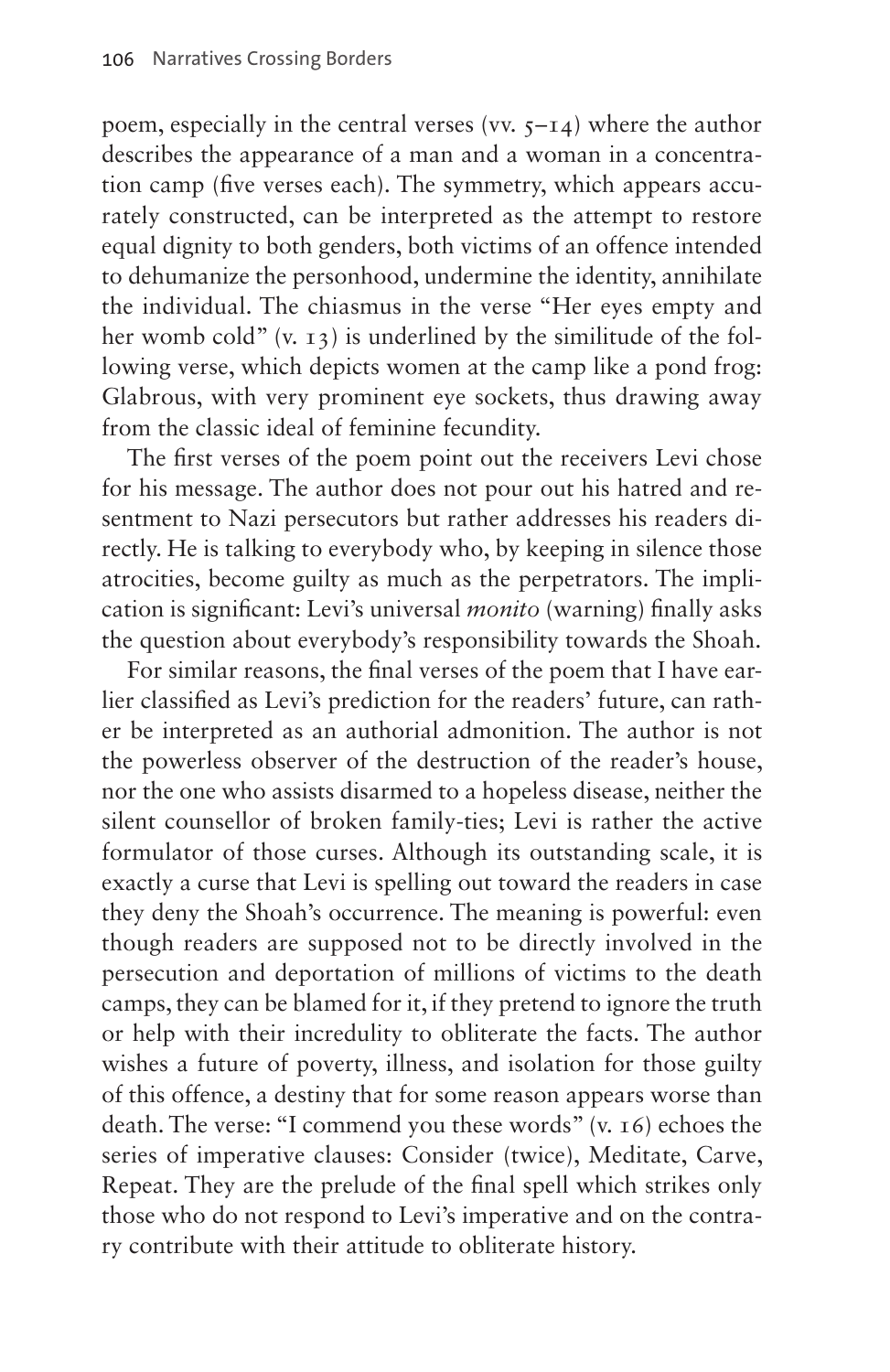poem, especially in the central verses (vv.  $5-14$ ) where the author describes the appearance of a man and a woman in a concentration camp (five verses each). The symmetry, which appears accurately constructed, can be interpreted as the attempt to restore equal dignity to both genders, both victims of an offence intended to dehumanize the personhood, undermine the identity, annihilate the individual. The chiasmus in the verse "Her eyes empty and her womb cold"  $(v, 13)$  is underlined by the similitude of the following verse, which depicts women at the camp like a pond frog: Glabrous, with very prominent eye sockets, thus drawing away from the classic ideal of feminine fecundity.

The first verses of the poem point out the receivers Levi chose for his message. The author does not pour out his hatred and resentment to Nazi persecutors but rather addresses his readers directly. He is talking to everybody who, by keeping in silence those atrocities, become guilty as much as the perpetrators. The implication is significant: Levi's universal *monito* (warning) finally asks the question about everybody's responsibility towards the Shoah.

For similar reasons, the final verses of the poem that I have earlier classified as Levi's prediction for the readers' future, can rather be interpreted as an authorial admonition. The author is not the powerless observer of the destruction of the reader's house, nor the one who assists disarmed to a hopeless disease, neither the silent counsellor of broken family-ties; Levi is rather the active formulator of those curses. Although its outstanding scale, it is exactly a curse that Levi is spelling out toward the readers in case they deny the Shoah's occurrence. The meaning is powerful: even though readers are supposed not to be directly involved in the persecution and deportation of millions of victims to the death camps, they can be blamed for it, if they pretend to ignore the truth or help with their incredulity to obliterate the facts. The author wishes a future of poverty, illness, and isolation for those guilty of this offence, a destiny that for some reason appears worse than death. The verse: "I commend you these words" (v. 16) echoes the series of imperative clauses: Consider (twice), Meditate, Carve, Repeat. They are the prelude of the final spell which strikes only those who do not respond to Levi's imperative and on the contrary contribute with their attitude to obliterate history.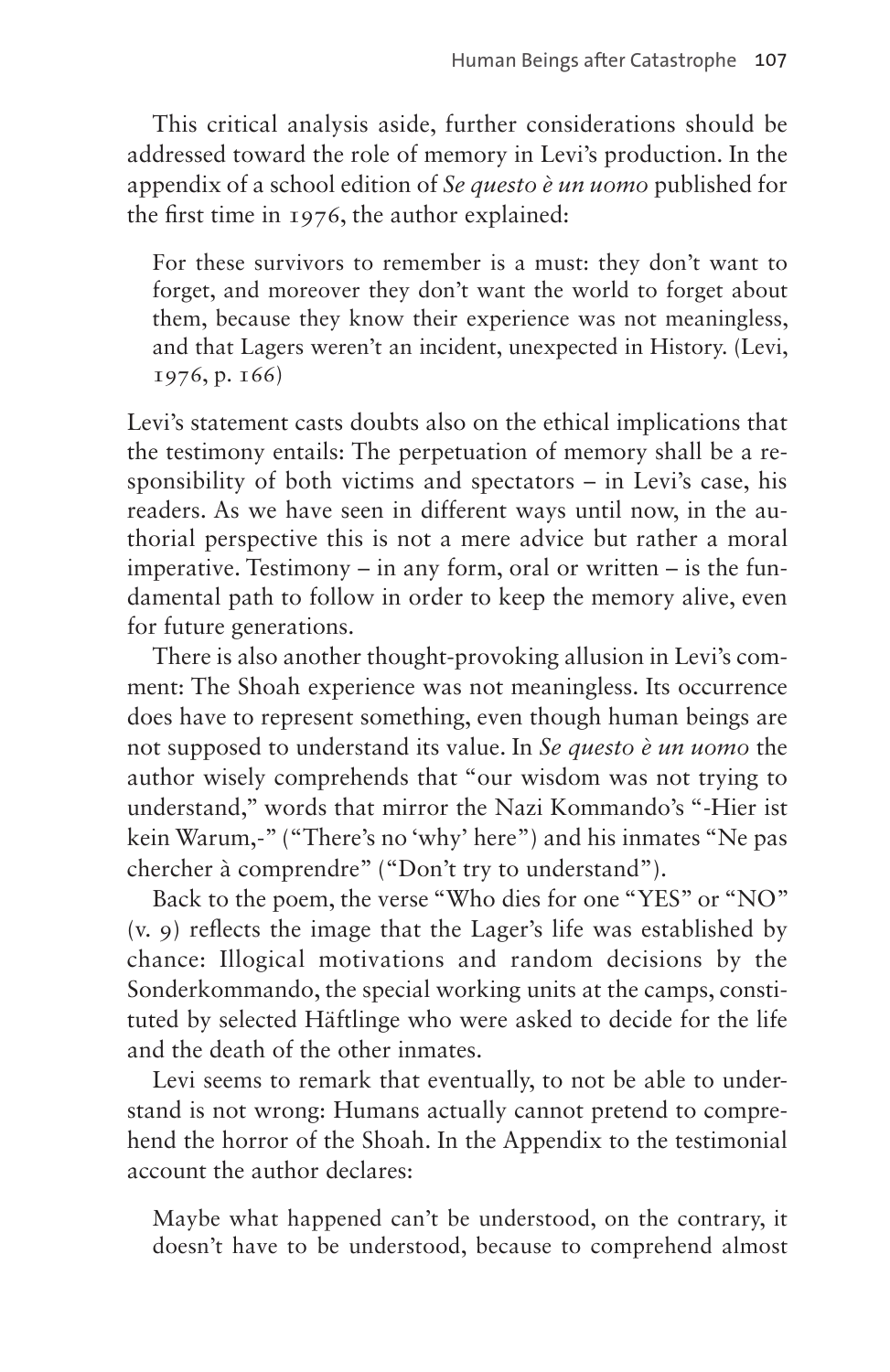This critical analysis aside, further considerations should be addressed toward the role of memory in Levi's production. In the appendix of a school edition of *Se questo è un uomo* published for the first time in 1976, the author explained:

For these survivors to remember is a must: they don't want to forget, and moreover they don't want the world to forget about them, because they know their experience was not meaningless, and that Lagers weren't an incident, unexpected in History. (Levi, 1976, p. 166)

Levi's statement casts doubts also on the ethical implications that the testimony entails: The perpetuation of memory shall be a responsibility of both victims and spectators – in Levi's case, his readers. As we have seen in different ways until now, in the authorial perspective this is not a mere advice but rather a moral imperative. Testimony – in any form, oral or written – is the fundamental path to follow in order to keep the memory alive, even for future generations.

There is also another thought-provoking allusion in Levi's comment: The Shoah experience was not meaningless. Its occurrence does have to represent something, even though human beings are not supposed to understand its value. In *Se questo è un uomo* the author wisely comprehends that "our wisdom was not trying to understand," words that mirror the Nazi Kommando's "-Hier ist kein Warum,-" ("There's no 'why' here") and his inmates "Ne pas chercher à comprendre" ("Don't try to understand").

Back to the poem, the verse "Who dies for one "YES" or "NO" (v. 9) reflects the image that the Lager's life was established by chance: Illogical motivations and random decisions by the Sonderkommando, the special working units at the camps, constituted by selected Häftlinge who were asked to decide for the life and the death of the other inmates.

Levi seems to remark that eventually, to not be able to understand is not wrong: Humans actually cannot pretend to comprehend the horror of the Shoah. In the Appendix to the testimonial account the author declares:

Maybe what happened can't be understood, on the contrary, it doesn't have to be understood, because to comprehend almost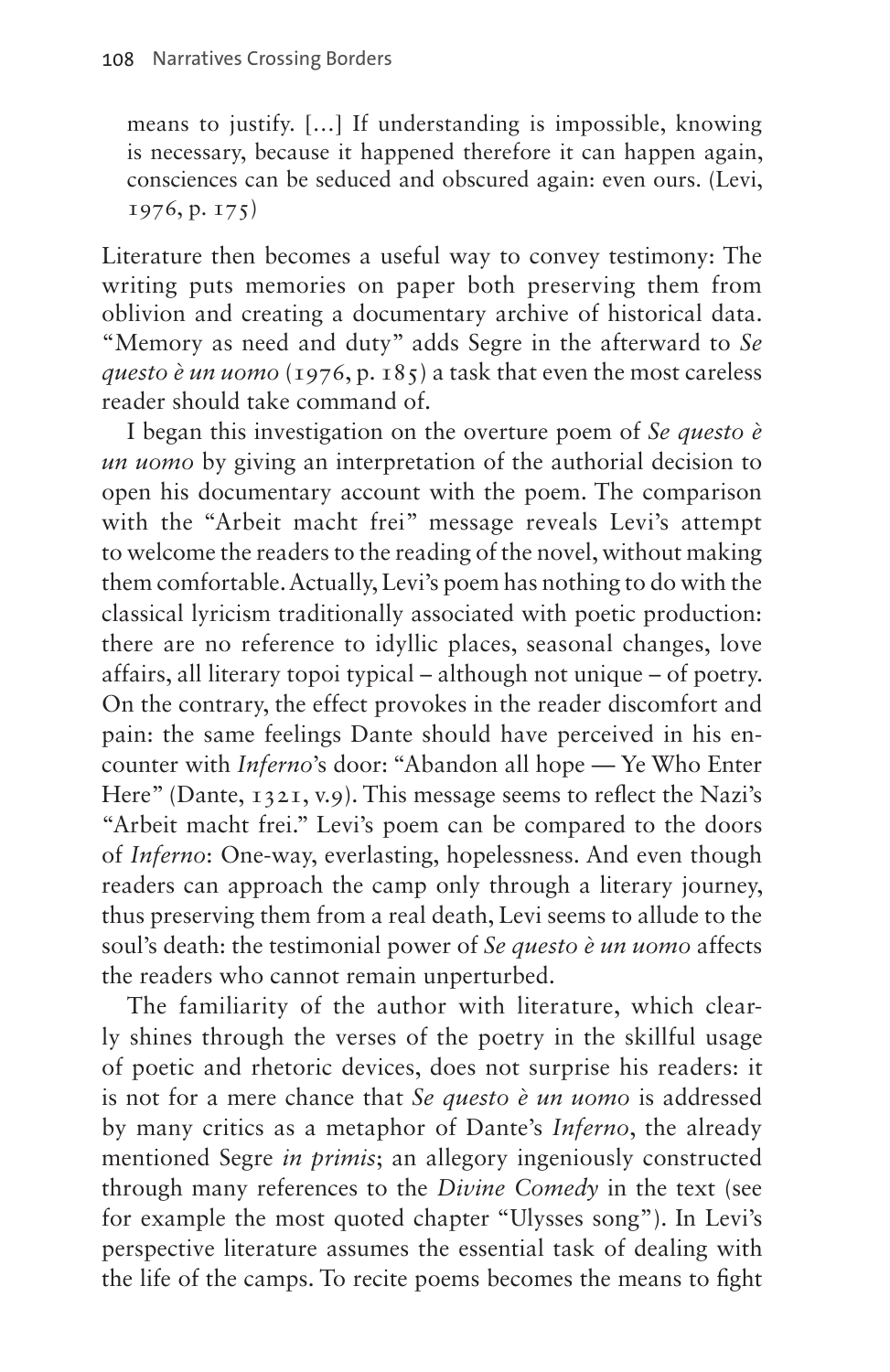means to justify. […] If understanding is impossible, knowing is necessary, because it happened therefore it can happen again, consciences can be seduced and obscured again: even ours. (Levi, 1976, p. 175)

Literature then becomes a useful way to convey testimony: The writing puts memories on paper both preserving them from oblivion and creating a documentary archive of historical data. "Memory as need and duty" adds Segre in the afterward to *Se questo è un uomo* (1976, p. 185) a task that even the most careless reader should take command of.

I began this investigation on the overture poem of *Se questo è un uomo* by giving an interpretation of the authorial decision to open his documentary account with the poem. The comparison with the "Arbeit macht frei" message reveals Levi's attempt to welcome the readers to the reading of the novel, without making them comfortable. Actually, Levi's poem has nothing to do with the classical lyricism traditionally associated with poetic production: there are no reference to idyllic places, seasonal changes, love affairs, all literary topoi typical – although not unique – of poetry. On the contrary, the effect provokes in the reader discomfort and pain: the same feelings Dante should have perceived in his encounter with *Inferno*'s door: "Abandon all hope — Ye Who Enter Here" (Dante, 1321, v.9). This message seems to reflect the Nazi's "Arbeit macht frei." Levi's poem can be compared to the doors of *Inferno*: One-way, everlasting, hopelessness. And even though readers can approach the camp only through a literary journey, thus preserving them from a real death, Levi seems to allude to the soul's death: the testimonial power of *Se questo è un uomo* affects the readers who cannot remain unperturbed.

The familiarity of the author with literature, which clearly shines through the verses of the poetry in the skillful usage of poetic and rhetoric devices, does not surprise his readers: it is not for a mere chance that *Se questo è un uomo* is addressed by many critics as a metaphor of Dante's *Inferno*, the already mentioned Segre *in primis*; an allegory ingeniously constructed through many references to the *Divine Comedy* in the text (see for example the most quoted chapter "Ulysses song"). In Levi's perspective literature assumes the essential task of dealing with the life of the camps. To recite poems becomes the means to fight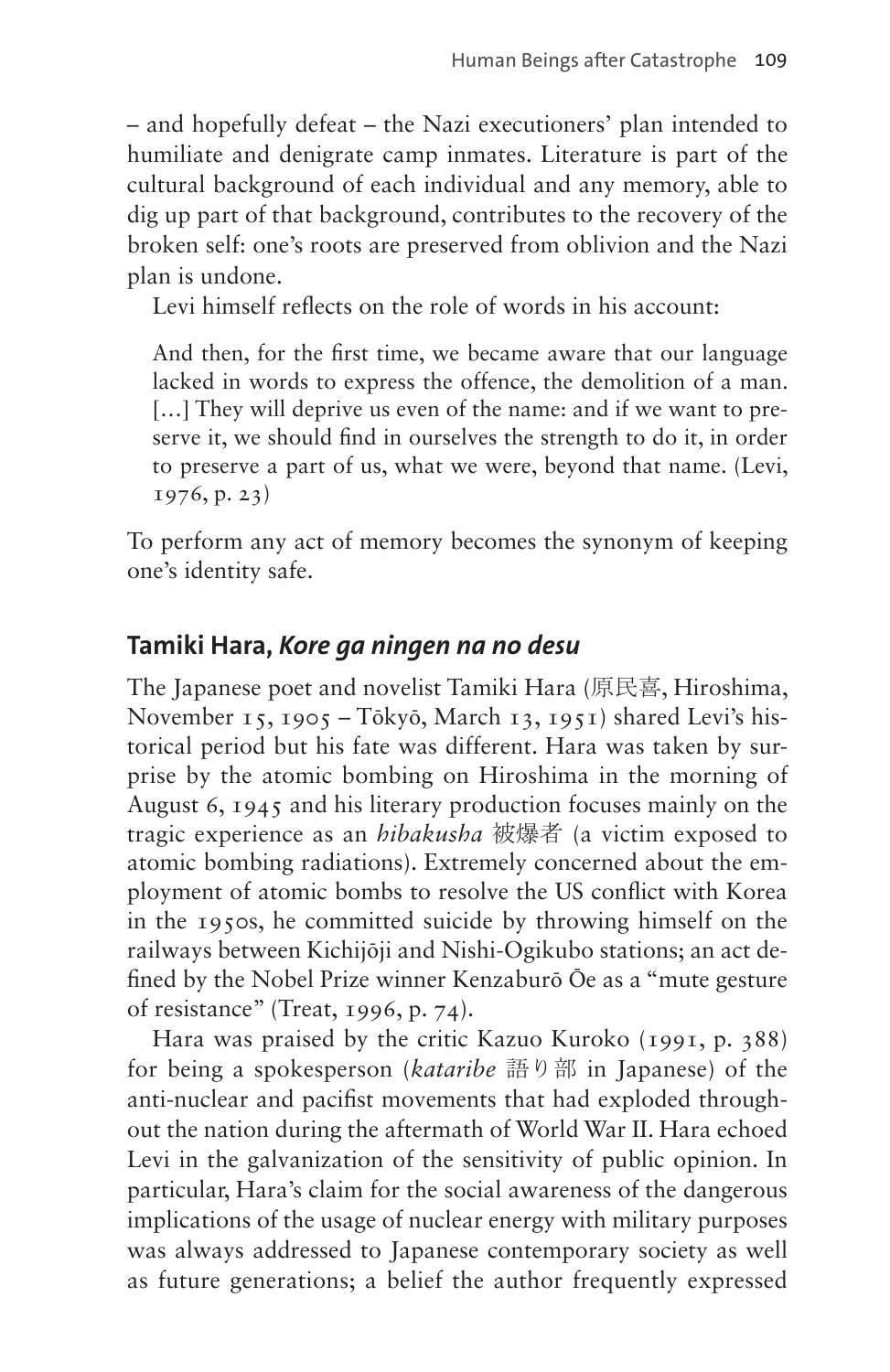– and hopefully defeat – the Nazi executioners' plan intended to humiliate and denigrate camp inmates. Literature is part of the cultural background of each individual and any memory, able to dig up part of that background, contributes to the recovery of the broken self: one's roots are preserved from oblivion and the Nazi plan is undone.

Levi himself reflects on the role of words in his account:

And then, for the first time, we became aware that our language lacked in words to express the offence, the demolition of a man. [...] They will deprive us even of the name: and if we want to preserve it, we should find in ourselves the strength to do it, in order to preserve a part of us, what we were, beyond that name. (Levi, 1976, p. 23)

To perform any act of memory becomes the synonym of keeping one's identity safe.

## **Tamiki Hara,** *Kore ga ningen na no desu*

The Japanese poet and novelist Tamiki Hara (原民喜, Hiroshima, November 15, 1905 – Tōkyō, March 13, 1951) shared Levi's historical period but his fate was different. Hara was taken by surprise by the atomic bombing on Hiroshima in the morning of August 6, 1945 and his literary production focuses mainly on the tragic experience as an *hibakusha* 被爆者 (a victim exposed to atomic bombing radiations). Extremely concerned about the employment of atomic bombs to resolve the US conflict with Korea in the 1950s, he committed suicide by throwing himself on the railways between Kichijōji and Nishi-Ogikubo stations; an act defined by the Nobel Prize winner Kenzaburō Ōe as a "mute gesture of resistance" (Treat, 1996, p. 74).

Hara was praised by the critic Kazuo Kuroko (1991, p. 388) for being a spokesperson (*kataribe* 語り部 in Japanese) of the anti-nuclear and pacifist movements that had exploded throughout the nation during the aftermath of World War II. Hara echoed Levi in the galvanization of the sensitivity of public opinion. In particular, Hara's claim for the social awareness of the dangerous implications of the usage of nuclear energy with military purposes was always addressed to Japanese contemporary society as well as future generations; a belief the author frequently expressed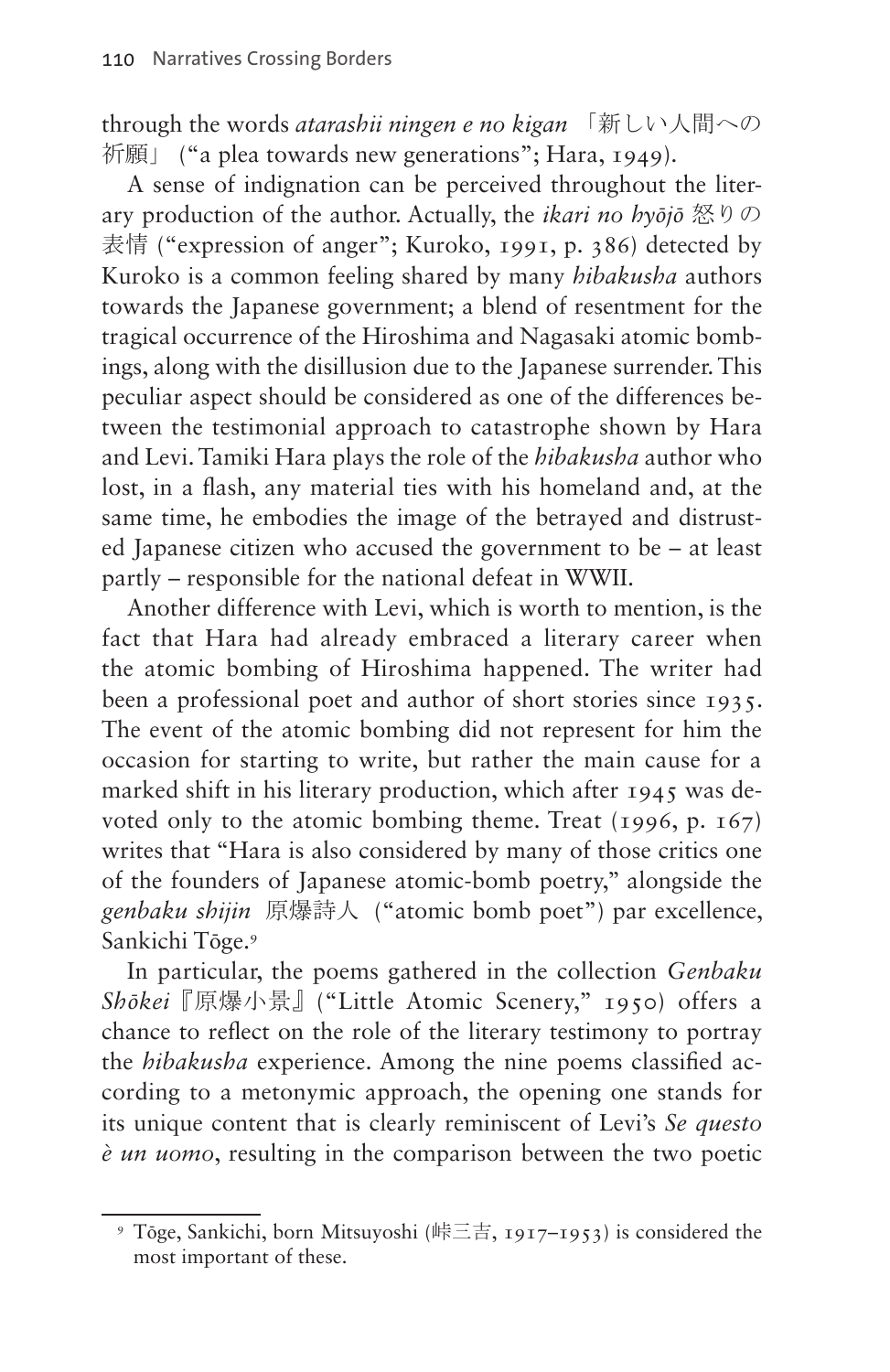through the words *atarashii ningen e no kigan* 「新しい人間への 祈願」 ("a plea towards new generations"; Hara, 1949).

A sense of indignation can be perceived throughout the literary production of the author. Actually, the *ikari no hyōjō* 怒りの 表情 ("expression of anger"; Kuroko, 1991, p. 386) detected by Kuroko is a common feeling shared by many *hibakusha* authors towards the Japanese government; a blend of resentment for the tragical occurrence of the Hiroshima and Nagasaki atomic bombings, along with the disillusion due to the Japanese surrender. This peculiar aspect should be considered as one of the differences between the testimonial approach to catastrophe shown by Hara and Levi. Tamiki Hara plays the role of the *hibakusha* author who lost, in a flash, any material ties with his homeland and, at the same time, he embodies the image of the betrayed and distrusted Japanese citizen who accused the government to be – at least partly – responsible for the national defeat in WWII.

Another difference with Levi, which is worth to mention, is the fact that Hara had already embraced a literary career when the atomic bombing of Hiroshima happened. The writer had been a professional poet and author of short stories since 1935. The event of the atomic bombing did not represent for him the occasion for starting to write, but rather the main cause for a marked shift in his literary production, which after 1945 was devoted only to the atomic bombing theme. Treat (1996, p. 167) writes that "Hara is also considered by many of those critics one of the founders of Japanese atomic-bomb poetry," alongside the *genbaku shijin* 原爆詩人 ("atomic bomb poet") par excellence, Sankichi Tōge.[9](#page-11-0)

In particular, the poems gathered in the collection *Genbaku Shōkei*『原爆小景』("Little Atomic Scenery," 1950) offers a chance to reflect on the role of the literary testimony to portray the *hibakusha* experience. Among the nine poems classified according to a metonymic approach, the opening one stands for its unique content that is clearly reminiscent of Levi's *Se questo è un uomo*, resulting in the comparison between the two poetic

<span id="page-11-0"></span><sup>9</sup> Tōge, Sankichi, born Mitsuyoshi (峠三吉, 1917–1953) is considered the most important of these.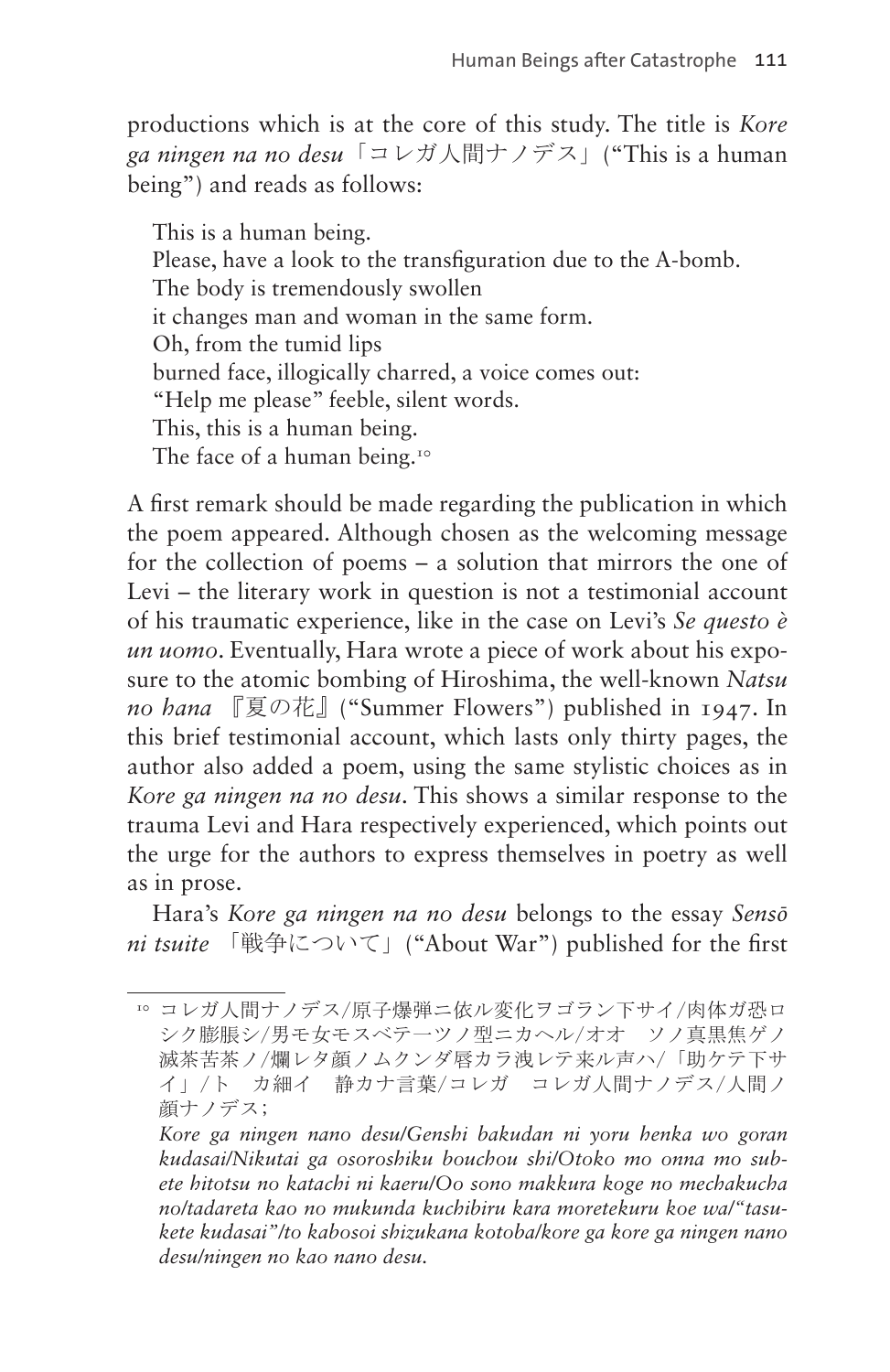productions which is at the core of this study. The title is *Kore ga ningen na no desu*「コレガ人間ナノデス」("This is a human being") and reads as follows:

This is a human being. Please, have a look to the transfiguration due to the A-bomb. The body is tremendously swollen it changes man and woman in the same form. Oh, from the tumid lips burned face, illogically charred, a voice comes out: "Help me please" feeble, silent words. This, this is a human being. The face of a human being.<sup>[10](#page-12-0)</sup>

A first remark should be made regarding the publication in which the poem appeared. Although chosen as the welcoming message for the collection of poems – a solution that mirrors the one of Levi – the literary work in question is not a testimonial account of his traumatic experience, like in the case on Levi's *Se questo è un uomo*. Eventually, Hara wrote a piece of work about his exposure to the atomic bombing of Hiroshima, the well-known *Natsu no hana* 『夏の花』("Summer Flowers") published in 1947. In this brief testimonial account, which lasts only thirty pages, the author also added a poem, using the same stylistic choices as in *Kore ga ningen na no desu*. This shows a similar response to the trauma Levi and Hara respectively experienced, which points out the urge for the authors to express themselves in poetry as well as in prose.

Hara's *Kore ga ningen na no desu* belongs to the essay *Sensō ni tsuite* 「戦争について」("About War") published for the first

<span id="page-12-0"></span><sup>10</sup> コレガ人間ナノデス/原子爆弾ニ依ル変化ヲゴラン下サイ/肉体ガ恐ロ シク膨脹シ/男モ女モスベテーツノ型ニカヘル/オオ ソノ真黒焦ゲノ 滅茶苦茶ノ/爛レタ顔ノムクンダ唇カラ洩レテ来ル声ハ/「助ケテ下サ イ」/ト カ細イ 静カナ言葉/コレガ コレガ人間ナノデス/人間ノ 顔ナノデス;

*Kore ga ningen nano desu/Genshi bakudan ni yoru henka wo goran kudasai/Nikutai ga osoroshiku bouchou shi/Otoko mo onna mo subete hitotsu no katachi ni kaeru/Oo sono makkura koge no mechakucha no/tadareta kao no mukunda kuchibiru kara moretekuru koe wa/"tasukete kudasai"/to kabosoi shizukana kotoba/kore ga kore ga ningen nano desu/ningen no kao nano desu.*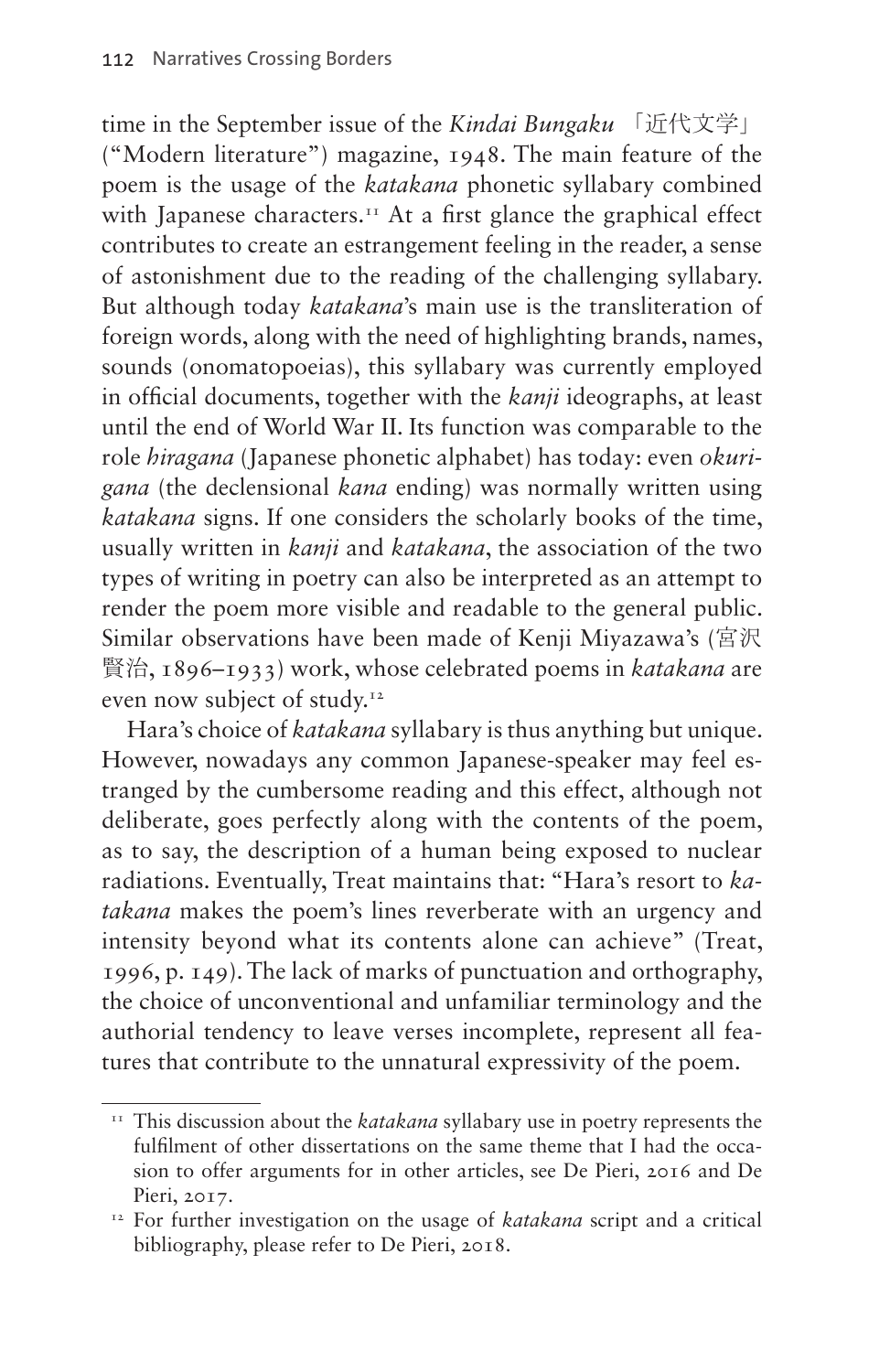time in the September issue of the *Kindai Bungaku* 「近代文学」 ("Modern literature") magazine, 1948. The main feature of the poem is the usage of the *katakana* phonetic syllabary combined with Japanese characters.<sup>11</sup> At a first glance the graphical effect contributes to create an estrangement feeling in the reader, a sense of astonishment due to the reading of the challenging syllabary. But although today *katakana*'s main use is the transliteration of foreign words, along with the need of highlighting brands, names, sounds (onomatopoeias), this syllabary was currently employed in official documents, together with the *kanji* ideographs, at least until the end of World War II. Its function was comparable to the role *hiragana* (Japanese phonetic alphabet) has today: even *okurigana* (the declensional *kana* ending) was normally written using *katakana* signs. If one considers the scholarly books of the time, usually written in *kanji* and *katakana*, the association of the two types of writing in poetry can also be interpreted as an attempt to render the poem more visible and readable to the general public. Similar observations have been made of Kenji Miyazawa's (宮沢 賢治, 1896–1933) work, whose celebrated poems in *katakana* are even now subject of study.<sup>[12](#page-13-1)</sup>

Hara's choice of *katakana* syllabary is thus anything but unique. However, nowadays any common Japanese-speaker may feel estranged by the cumbersome reading and this effect, although not deliberate, goes perfectly along with the contents of the poem, as to say, the description of a human being exposed to nuclear radiations. Eventually, Treat maintains that: "Hara's resort to *katakana* makes the poem's lines reverberate with an urgency and intensity beyond what its contents alone can achieve" (Treat, 1996, p. 149). The lack of marks of punctuation and orthography, the choice of unconventional and unfamiliar terminology and the authorial tendency to leave verses incomplete, represent all features that contribute to the unnatural expressivity of the poem.

<span id="page-13-0"></span><sup>&</sup>lt;sup>11</sup> This discussion about the *katakana* syllabary use in poetry represents the fulfilment of other dissertations on the same theme that I had the occasion to offer arguments for in other articles, see De Pieri, 2016 and De Pieri, 2017.

<span id="page-13-1"></span><sup>&</sup>lt;sup>12</sup> For further investigation on the usage of *katakana* script and a critical bibliography, please refer to De Pieri, 2018.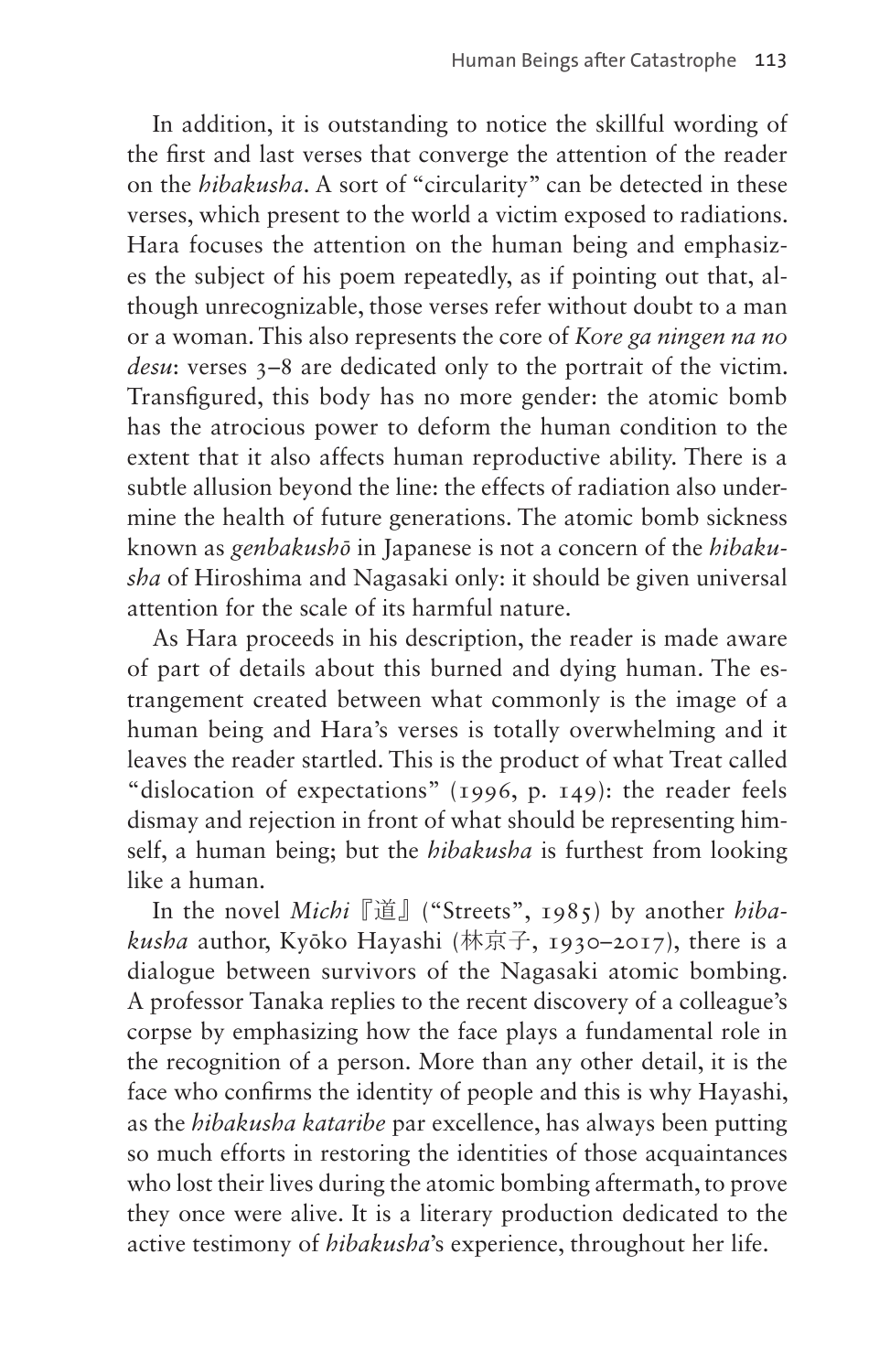In addition, it is outstanding to notice the skillful wording of the first and last verses that converge the attention of the reader on the *hibakusha*. A sort of "circularity" can be detected in these verses, which present to the world a victim exposed to radiations. Hara focuses the attention on the human being and emphasizes the subject of his poem repeatedly, as if pointing out that, although unrecognizable, those verses refer without doubt to a man or a woman. This also represents the core of *Kore ga ningen na no desu*: verses  $3-8$  are dedicated only to the portrait of the victim. Transfigured, this body has no more gender: the atomic bomb has the atrocious power to deform the human condition to the extent that it also affects human reproductive ability. There is a subtle allusion beyond the line: the effects of radiation also undermine the health of future generations. The atomic bomb sickness known as *genbakushō* in Japanese is not a concern of the *hibakusha* of Hiroshima and Nagasaki only: it should be given universal attention for the scale of its harmful nature.

As Hara proceeds in his description, the reader is made aware of part of details about this burned and dying human. The estrangement created between what commonly is the image of a human being and Hara's verses is totally overwhelming and it leaves the reader startled. This is the product of what Treat called "dislocation of expectations" (1996, p. 149): the reader feels dismay and rejection in front of what should be representing himself, a human being; but the *hibakusha* is furthest from looking like a human.

In the novel *Michi*『道』("Streets", 1985) by another *hibakusha* author, Kyōko Hayashi (林京子, 1930–2017), there is a dialogue between survivors of the Nagasaki atomic bombing. A professor Tanaka replies to the recent discovery of a colleague's corpse by emphasizing how the face plays a fundamental role in the recognition of a person. More than any other detail, it is the face who confirms the identity of people and this is why Hayashi, as the *hibakusha kataribe* par excellence, has always been putting so much efforts in restoring the identities of those acquaintances who lost their lives during the atomic bombing aftermath, to prove they once were alive. It is a literary production dedicated to the active testimony of *hibakusha*'s experience, throughout her life.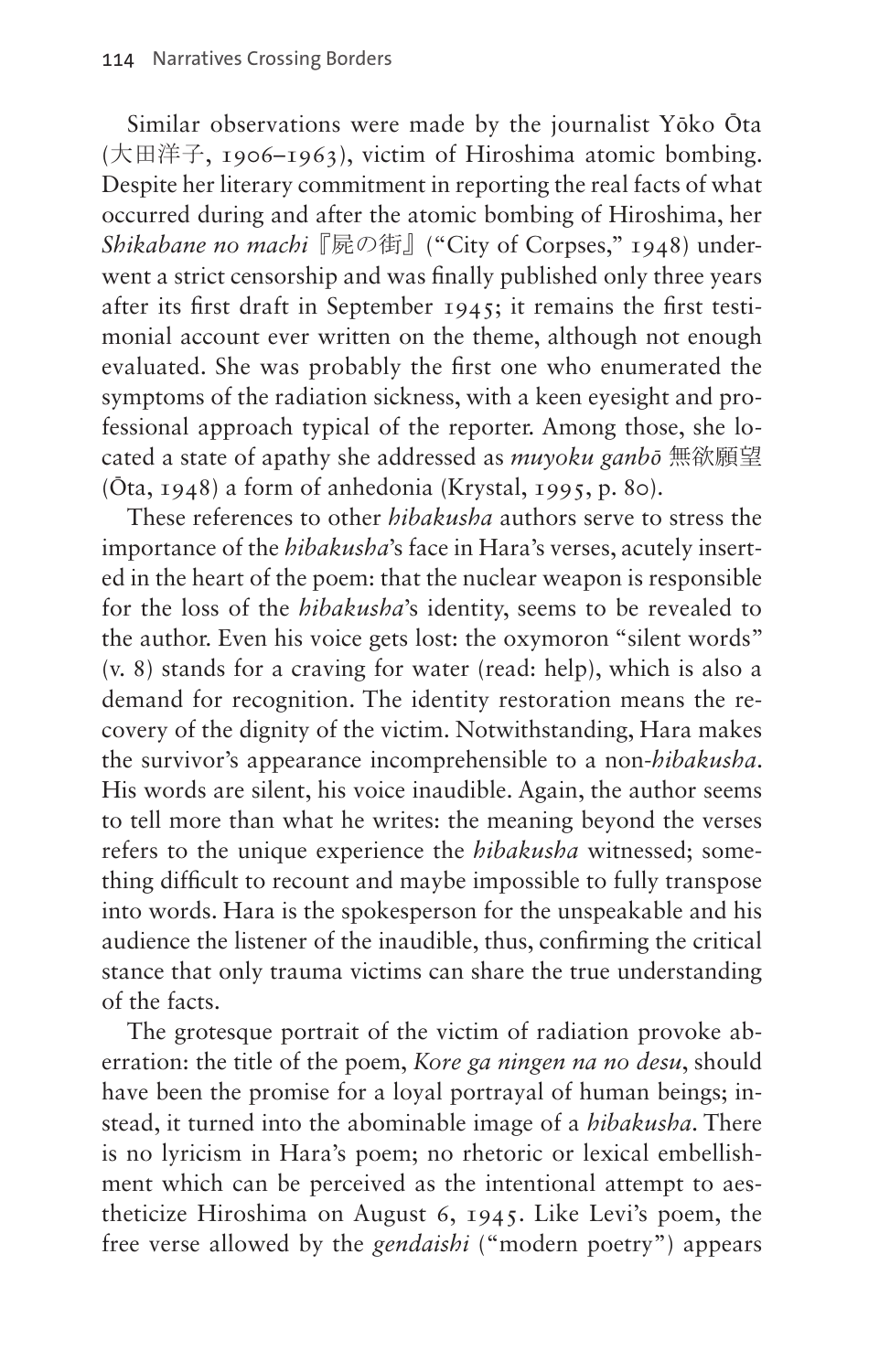Similar observations were made by the journalist Yōko Ōta (大田洋子, 1906–1963), victim of Hiroshima atomic bombing. Despite her literary commitment in reporting the real facts of what occurred during and after the atomic bombing of Hiroshima, her *Shikabane no machi*『屍の街』("City of Corpses," 1948) underwent a strict censorship and was finally published only three years after its first draft in September 1945; it remains the first testimonial account ever written on the theme, although not enough evaluated. She was probably the first one who enumerated the symptoms of the radiation sickness, with a keen eyesight and professional approach typical of the reporter. Among those, she located a state of apathy she addressed as *muyoku ganbō* 無欲願望 (Ōta, 1948) a form of anhedonia (Krystal, 1995, p. 80).

These references to other *hibakusha* authors serve to stress the importance of the *hibakusha*'s face in Hara's verses, acutely inserted in the heart of the poem: that the nuclear weapon is responsible for the loss of the *hibakusha*'s identity, seems to be revealed to the author. Even his voice gets lost: the oxymoron "silent words" (v. 8) stands for a craving for water (read: help), which is also a demand for recognition. The identity restoration means the recovery of the dignity of the victim. Notwithstanding, Hara makes the survivor's appearance incomprehensible to a non-*hibakusha*. His words are silent, his voice inaudible. Again, the author seems to tell more than what he writes: the meaning beyond the verses refers to the unique experience the *hibakusha* witnessed; something difficult to recount and maybe impossible to fully transpose into words. Hara is the spokesperson for the unspeakable and his audience the listener of the inaudible, thus, confirming the critical stance that only trauma victims can share the true understanding of the facts.

The grotesque portrait of the victim of radiation provoke aberration: the title of the poem, *Kore ga ningen na no desu*, should have been the promise for a loyal portrayal of human beings; instead, it turned into the abominable image of a *hibakusha*. There is no lyricism in Hara's poem; no rhetoric or lexical embellishment which can be perceived as the intentional attempt to aestheticize Hiroshima on August 6, 1945. Like Levi's poem, the free verse allowed by the *gendaishi* ("modern poetry") appears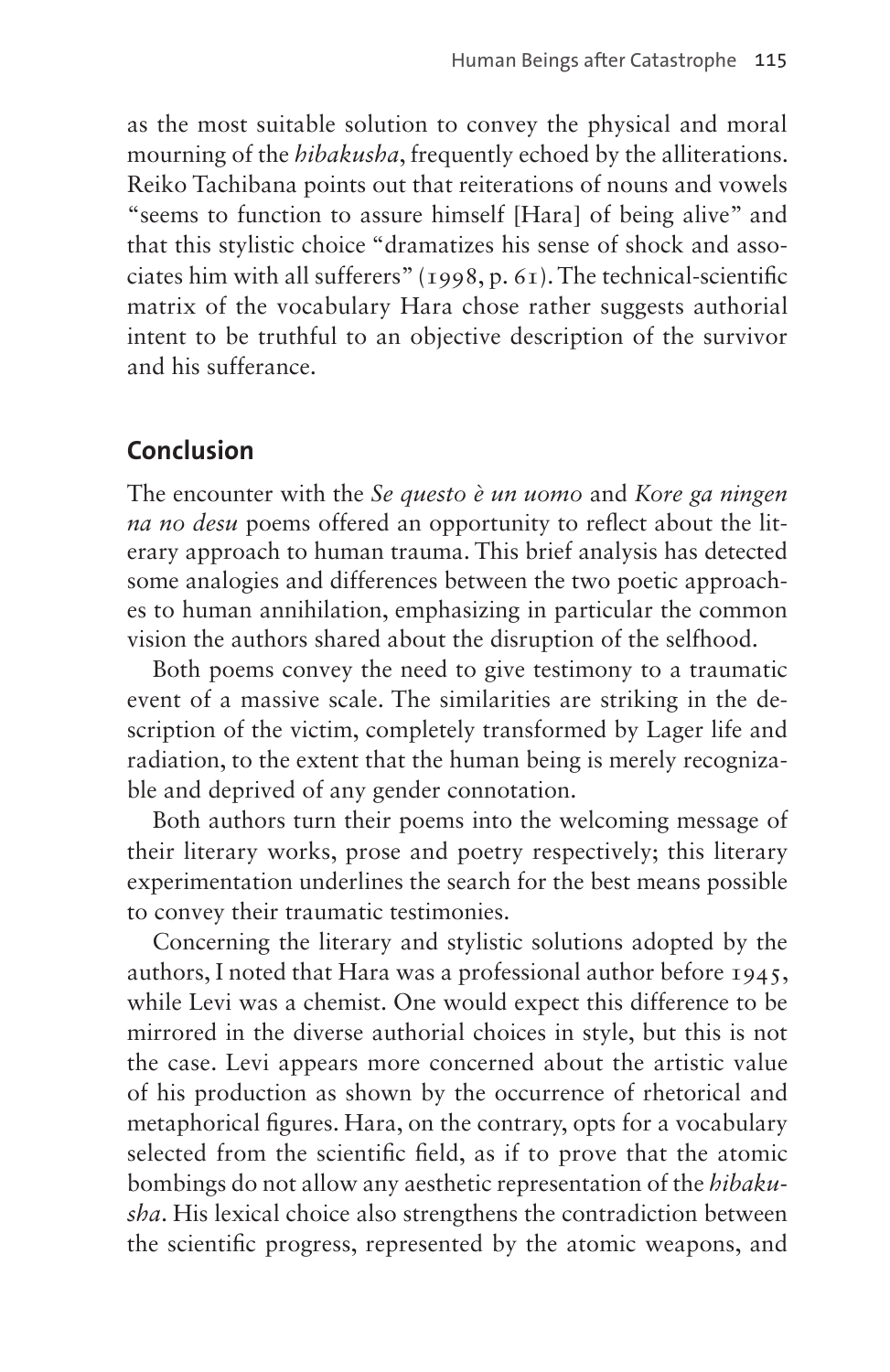as the most suitable solution to convey the physical and moral mourning of the *hibakusha*, frequently echoed by the alliterations. Reiko Tachibana points out that reiterations of nouns and vowels "seems to function to assure himself [Hara] of being alive" and that this stylistic choice "dramatizes his sense of shock and associates him with all sufferers" (1998, p. 61). The technical-scientific matrix of the vocabulary Hara chose rather suggests authorial intent to be truthful to an objective description of the survivor and his sufferance.

# **Conclusion**

The encounter with the *Se questo è un uomo* and *Kore ga ningen na no desu* poems offered an opportunity to reflect about the literary approach to human trauma. This brief analysis has detected some analogies and differences between the two poetic approaches to human annihilation, emphasizing in particular the common vision the authors shared about the disruption of the selfhood.

Both poems convey the need to give testimony to a traumatic event of a massive scale. The similarities are striking in the description of the victim, completely transformed by Lager life and radiation, to the extent that the human being is merely recognizable and deprived of any gender connotation.

Both authors turn their poems into the welcoming message of their literary works, prose and poetry respectively; this literary experimentation underlines the search for the best means possible to convey their traumatic testimonies.

Concerning the literary and stylistic solutions adopted by the authors, I noted that Hara was a professional author before 1945, while Levi was a chemist. One would expect this difference to be mirrored in the diverse authorial choices in style, but this is not the case. Levi appears more concerned about the artistic value of his production as shown by the occurrence of rhetorical and metaphorical figures. Hara, on the contrary, opts for a vocabulary selected from the scientific field, as if to prove that the atomic bombings do not allow any aesthetic representation of the *hibakusha*. His lexical choice also strengthens the contradiction between the scientific progress, represented by the atomic weapons, and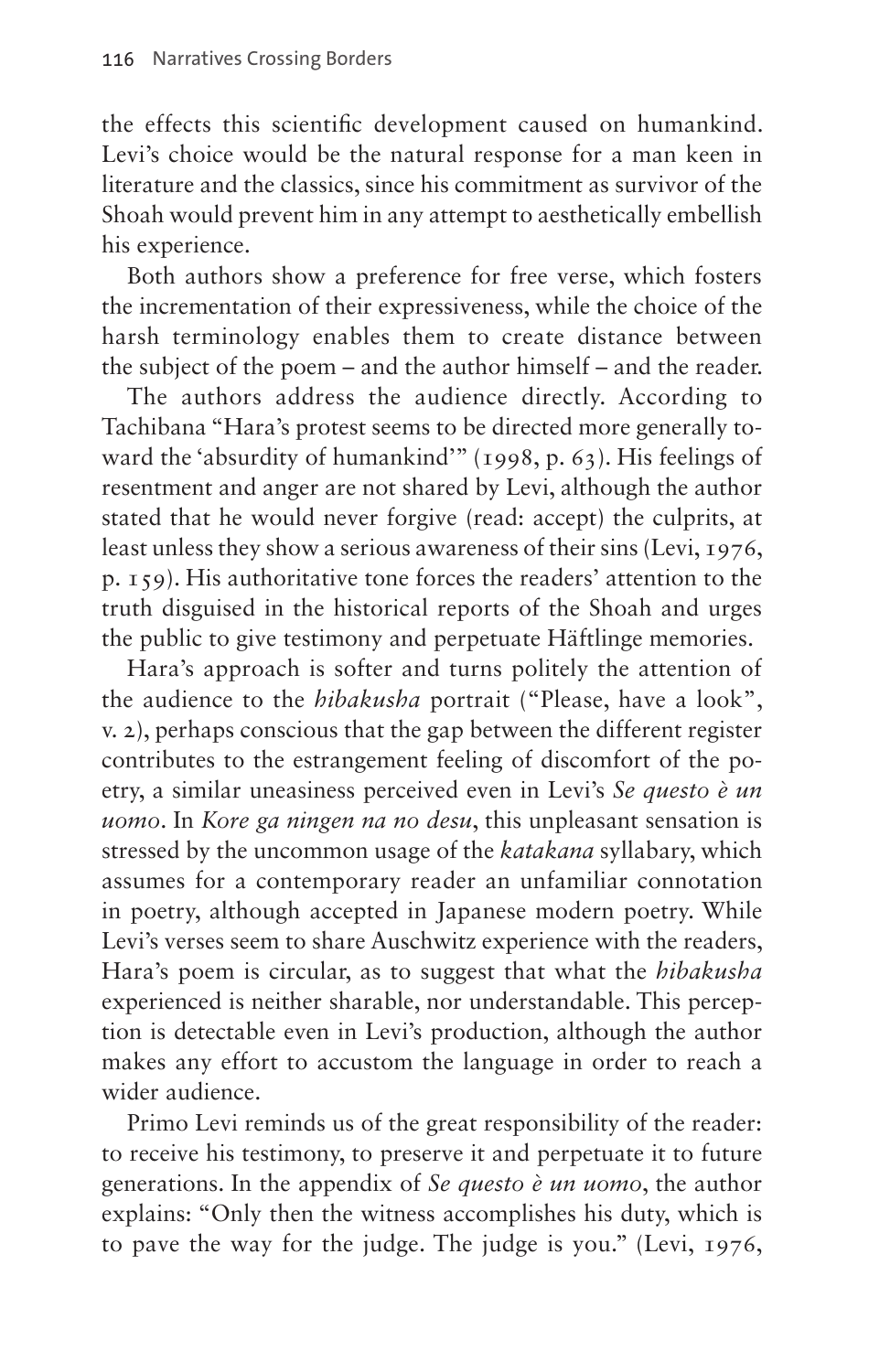the effects this scientific development caused on humankind. Levi's choice would be the natural response for a man keen in literature and the classics, since his commitment as survivor of the Shoah would prevent him in any attempt to aesthetically embellish his experience.

Both authors show a preference for free verse, which fosters the incrementation of their expressiveness, while the choice of the harsh terminology enables them to create distance between the subject of the poem – and the author himself – and the reader.

The authors address the audience directly. According to Tachibana "Hara's protest seems to be directed more generally toward the 'absurdity of humankind'" (1998, p. 63). His feelings of resentment and anger are not shared by Levi, although the author stated that he would never forgive (read: accept) the culprits, at least unless they show a serious awareness of their sins (Levi, 1976, p. 159). His authoritative tone forces the readers' attention to the truth disguised in the historical reports of the Shoah and urges the public to give testimony and perpetuate Häftlinge memories.

Hara's approach is softer and turns politely the attention of the audience to the *hibakusha* portrait ("Please, have a look", v. 2), perhaps conscious that the gap between the different register contributes to the estrangement feeling of discomfort of the poetry, a similar uneasiness perceived even in Levi's *Se questo è un uomo*. In *Kore ga ningen na no desu*, this unpleasant sensation is stressed by the uncommon usage of the *katakana* syllabary, which assumes for a contemporary reader an unfamiliar connotation in poetry, although accepted in Japanese modern poetry. While Levi's verses seem to share Auschwitz experience with the readers, Hara's poem is circular, as to suggest that what the *hibakusha* experienced is neither sharable, nor understandable. This perception is detectable even in Levi's production, although the author makes any effort to accustom the language in order to reach a wider audience.

Primo Levi reminds us of the great responsibility of the reader: to receive his testimony, to preserve it and perpetuate it to future generations. In the appendix of *Se questo è un uomo*, the author explains: "Only then the witness accomplishes his duty, which is to pave the way for the judge. The judge is you." (Levi, 1976,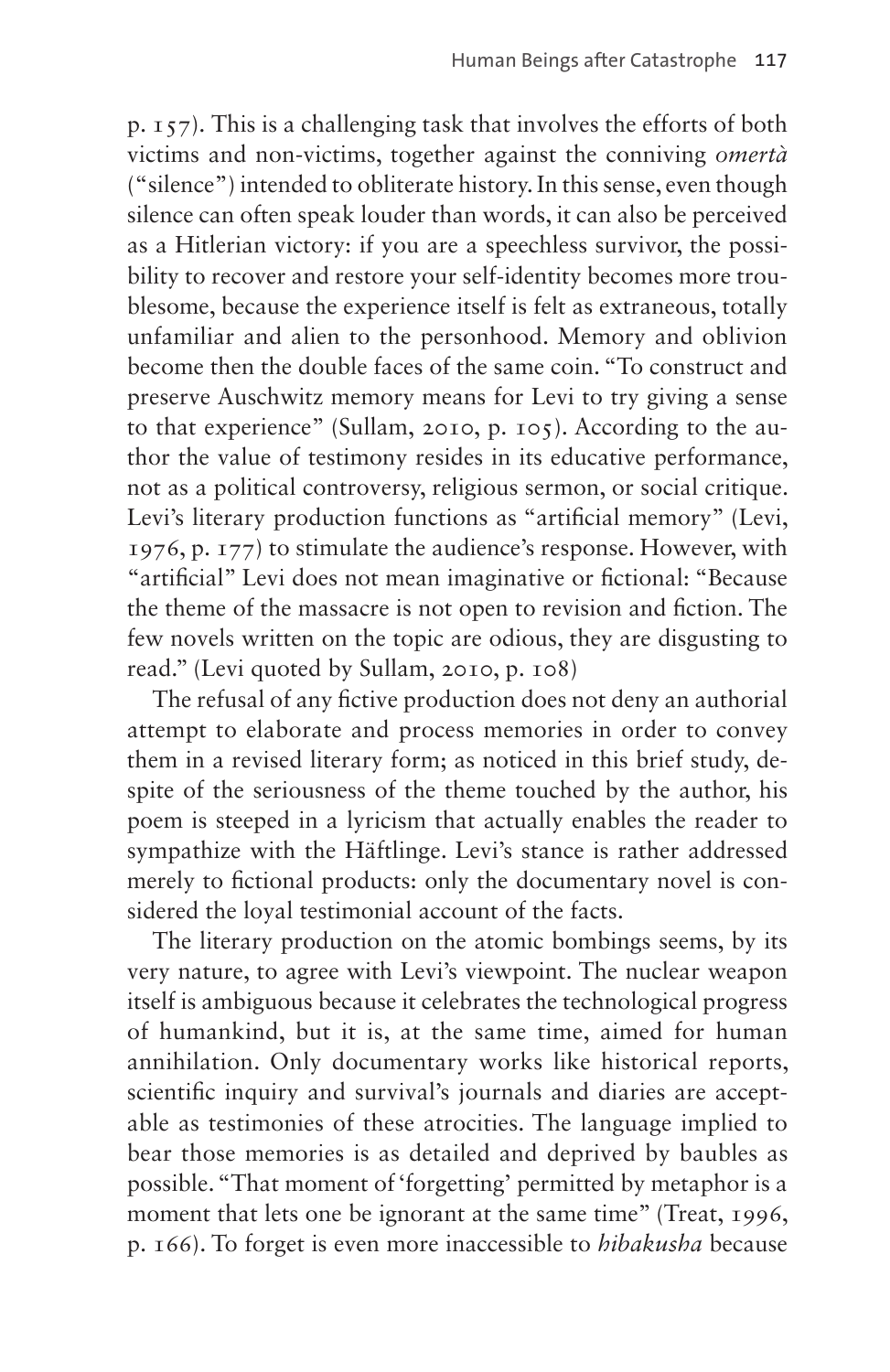p. 157). This is a challenging task that involves the efforts of both victims and non-victims, together against the conniving *omertà* ("silence") intended to obliterate history. In this sense, even though silence can often speak louder than words, it can also be perceived as a Hitlerian victory: if you are a speechless survivor, the possibility to recover and restore your self-identity becomes more troublesome, because the experience itself is felt as extraneous, totally unfamiliar and alien to the personhood. Memory and oblivion become then the double faces of the same coin. "To construct and preserve Auschwitz memory means for Levi to try giving a sense to that experience" (Sullam, 2010, p. 105). According to the author the value of testimony resides in its educative performance, not as a political controversy, religious sermon, or social critique. Levi's literary production functions as "artificial memory" (Levi, 1976, p. 177) to stimulate the audience's response. However, with "artificial" Levi does not mean imaginative or fictional: "Because the theme of the massacre is not open to revision and fiction. The few novels written on the topic are odious, they are disgusting to read." (Levi quoted by Sullam, 2010, p. 108)

The refusal of any fictive production does not deny an authorial attempt to elaborate and process memories in order to convey them in a revised literary form; as noticed in this brief study, despite of the seriousness of the theme touched by the author, his poem is steeped in a lyricism that actually enables the reader to sympathize with the Häftlinge. Levi's stance is rather addressed merely to fictional products: only the documentary novel is considered the loyal testimonial account of the facts.

The literary production on the atomic bombings seems, by its very nature, to agree with Levi's viewpoint. The nuclear weapon itself is ambiguous because it celebrates the technological progress of humankind, but it is, at the same time, aimed for human annihilation. Only documentary works like historical reports, scientific inquiry and survival's journals and diaries are acceptable as testimonies of these atrocities. The language implied to bear those memories is as detailed and deprived by baubles as possible. "That moment of 'forgetting' permitted by metaphor is a moment that lets one be ignorant at the same time" (Treat, 1996, p. 166). To forget is even more inaccessible to *hibakusha* because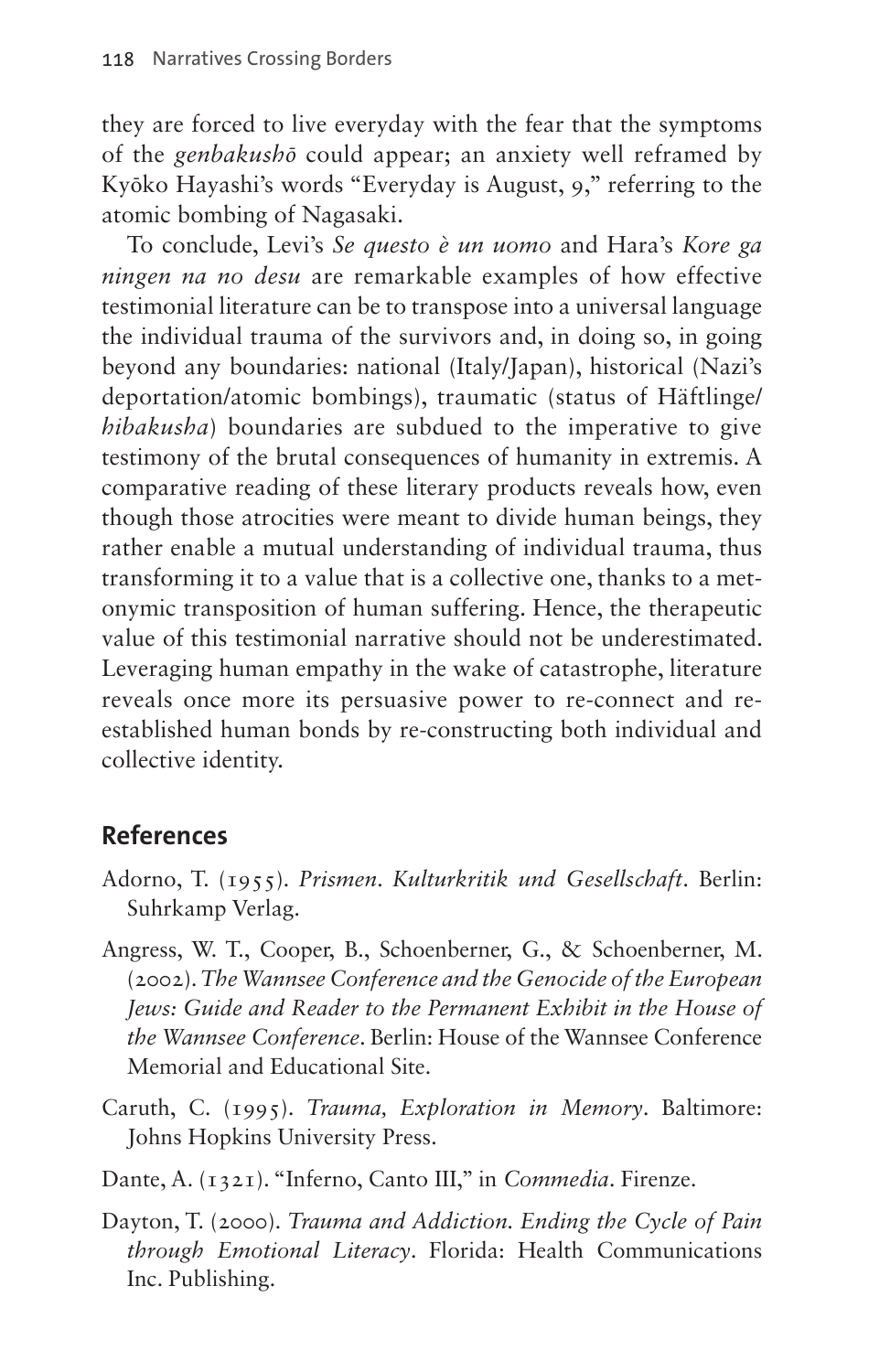they are forced to live everyday with the fear that the symptoms of the *genbakushō* could appear; an anxiety well reframed by Kyōko Hayashi's words "Everyday is August, 9," referring to the atomic bombing of Nagasaki.

To conclude, Levi's *Se questo è un uomo* and Hara's *Kore ga ningen na no desu* are remarkable examples of how effective testimonial literature can be to transpose into a universal language the individual trauma of the survivors and, in doing so, in going beyond any boundaries: national (Italy/Japan), historical (Nazi's deportation/atomic bombings), traumatic (status of Häftlinge/ *hibakusha*) boundaries are subdued to the imperative to give testimony of the brutal consequences of humanity in extremis. A comparative reading of these literary products reveals how, even though those atrocities were meant to divide human beings, they rather enable a mutual understanding of individual trauma, thus transforming it to a value that is a collective one, thanks to a metonymic transposition of human suffering. Hence, the therapeutic value of this testimonial narrative should not be underestimated. Leveraging human empathy in the wake of catastrophe, literature reveals once more its persuasive power to re-connect and reestablished human bonds by re-constructing both individual and collective identity.

#### **References**

- Adorno, T. (1955). *Prismen*. *Kulturkritik und Gesellschaft*. Berlin: Suhrkamp Verlag.
- Angress, W. T., Cooper, B., Schoenberner, G., & Schoenberner, M. (2002). *The Wannsee Conference and the Genocide of the European Jews: Guide and Reader to the Permanent Exhibit in the House of the Wannsee Conference*. Berlin: House of the Wannsee Conference Memorial and Educational Site.
- Caruth, C. (1995). *Trauma, Exploration in Memory*. Baltimore: Johns Hopkins University Press.
- Dante, A. (1321). "Inferno, Canto III," in *Commedia*. Firenze.
- Dayton, T. (2000). *Trauma and Addiction. Ending the Cycle of Pain through Emotional Literacy*. Florida: Health Communications Inc. Publishing.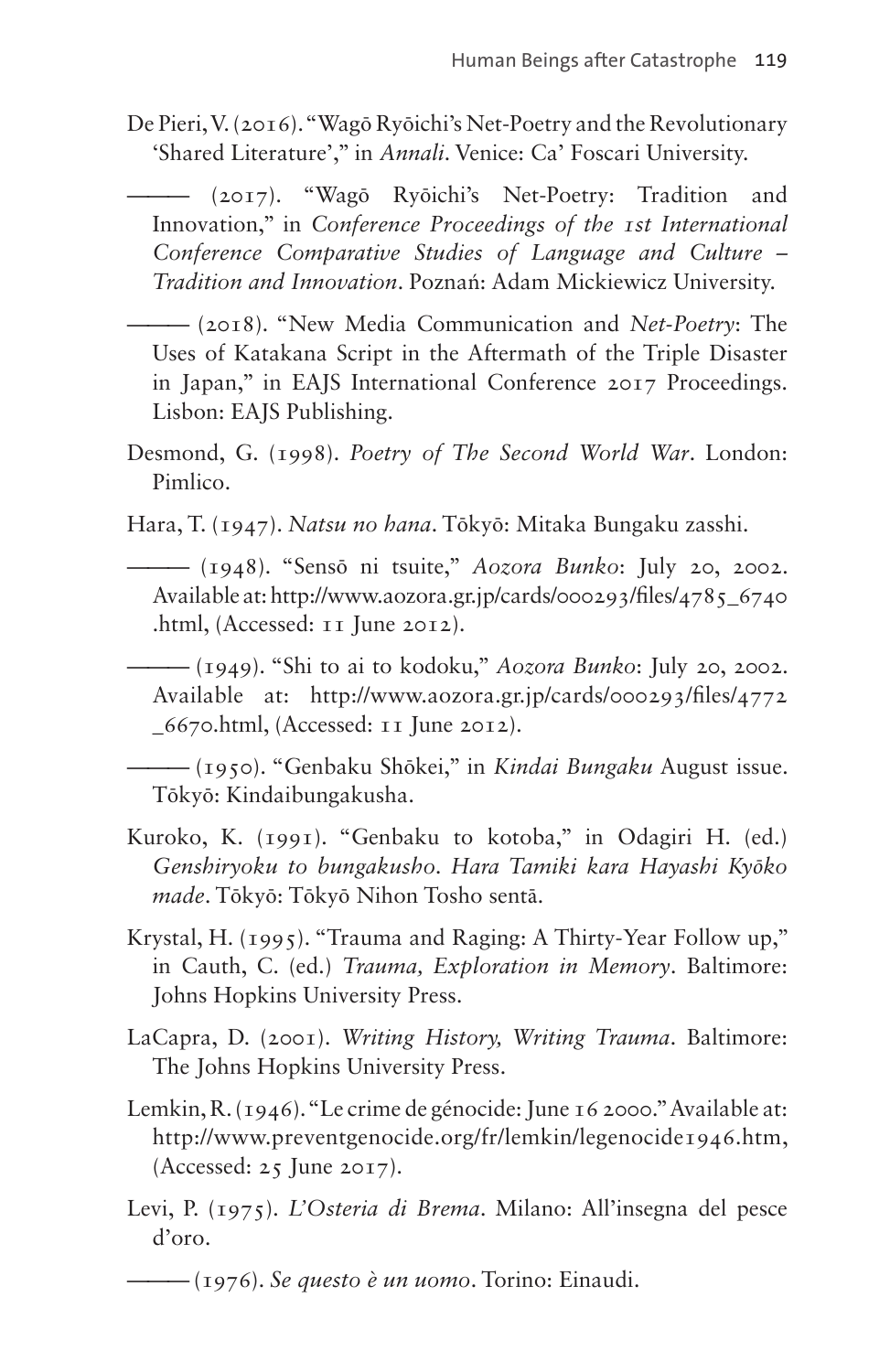De Pieri, V. (2016). "Wagō Ryōichi's Net-Poetry and the Revolutionary 'Shared Literature'," in *Annali*. Venice: Ca' Foscari University.

——— (2017). "Wagō Ryōichi's Net-Poetry: Tradition and Innovation," in *Conference Proceedings of the 1st International Conference Comparative Studies of Language and Culture – Tradition and Innovation*. Poznań: Adam Mickiewicz University.

——— (2018). "New Media Communication and *Net-Poetry*: The Uses of Katakana Script in the Aftermath of the Triple Disaster in Japan," in EAJS International Conference 2017 Proceedings. Lisbon: EAJS Publishing.

- Desmond, G. (1998). *Poetry of The Second World War*. London: Pimlico.
- Hara, T. (1947). *Natsu no hana*. Tōkyō: Mitaka Bungaku zasshi.
	- ——— (1948). "Sensō ni tsuite," *Aozora Bunko*: July 20, 2002. Available at: [http://www.aozora.gr.jp/cards/000293/files/4785\\_6740](http://www.aozora.gr.jp/cards/000293/files/4785_6740.html) [.html,](http://www.aozora.gr.jp/cards/000293/files/4785_6740.html) (Accessed: 11 June 2012).

——— (1949). "Shi to ai to kodoku," *Aozora Bunko*: July 20, 2002. Available at: [http://www.aozora.gr.jp/cards/000293/files/4772](http://www.aozora.gr.jp/cards/000293/files/4772_6670.html) [\\_6670.html](http://www.aozora.gr.jp/cards/000293/files/4772_6670.html), (Accessed: 11 June 2012).

——— (1950). "Genbaku Shōkei," in *Kindai Bungaku* August issue. Tōkyō: Kindaibungakusha.

- Kuroko, K. (1991). "Genbaku to kotoba," in Odagiri H. (ed.) *Genshiryoku to bungakusho. Hara Tamiki kara Hayashi Kyōko made*. Tōkyō: Tōkyō Nihon Tosho sentā.
- Krystal, H. (1995). "Trauma and Raging: A Thirty-Year Follow up," in Cauth, C. (ed.) *Trauma, Exploration in Memory*. Baltimore: Johns Hopkins University Press.
- LaCapra, D. (2001). *Writing History, Writing Trauma*. Baltimore: The Johns Hopkins University Press.
- Lemkin, R. (1946). "Le crime de génocide: June 16 2000." Available at: <http://www.preventgenocide.org/fr/lemkin/legenocide1946.htm>, (Accessed: 25 June 2017).
- Levi, P. (1975). *L'Osteria di Brema*. Milano: All'insegna del pesce d'oro.

<sup>——— (1976).</sup> *Se questo è un uomo*. Torino: Einaudi.